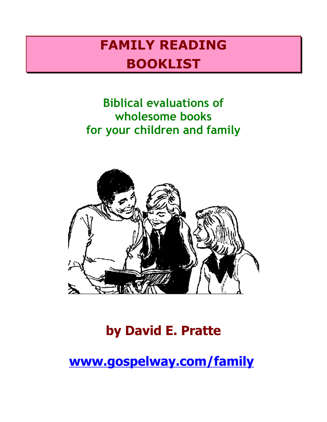# **FAMILY READING BOOKLIST**

## **Biblical evaluations of wholesome books for your children and family**



# **by David E. Pratte**

**[www.gospelway.com/family](http://www.gospelway.com/family)**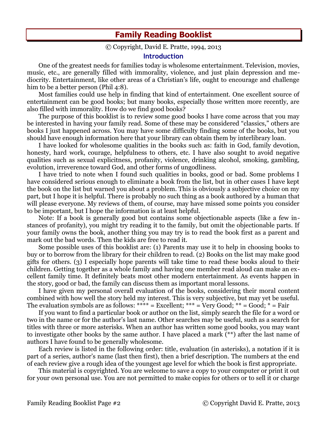### **Family Reading Booklist**

#### © Copyright, David E. Pratte, 1994, 2013

#### **Introduction**

One of the greatest needs for families today is wholesome entertainment. Television, movies, music, etc., are generally filled with immorality, violence, and just plain depression and mediocrity. Entertainment, like other areas of a Christian's life, ought to encourage and challenge him to be a better person (Phil 4:8).

Most families could use help in finding that kind of entertainment. One excellent source of entertainment can be good books; but many books, especially those written more recently, are also filled with immorality. How do we find good books?

The purpose of this booklist is to review some good books I have come across that you may be interested in having your family read. Some of these may be considered "classics," others are books I just happened across. You may have some difficulty finding some of the books, but you should have enough information here that your library can obtain them by interlibrary loan.

I have looked for wholesome qualities in the books such as: faith in God, family devotion, honesty, hard work, courage, helpfulness to others, etc. I have also sought to avoid negative qualities such as sexual explicitness, profanity, violence, drinking alcohol, smoking, gambling, evolution, irreverence toward God, and other forms of ungodliness.

I have tried to note when I found such qualities in books, good or bad. Some problems I have considered serious enough to eliminate a book from the list, but in other cases I have kept the book on the list but warned you about a problem. This is obviously a subjective choice on my part, but I hope it is helpful. There is probably no such thing as a book authored by a human that will please everyone. My reviews of them, of course, may have missed some points you consider to be important, but I hope the information is at least helpful.

Note: If a book is generally good but contains some objectionable aspects (like a few instances of profanity), you might try reading it to the family, but omit the objectionable parts. If your family owns the book, another thing you may try is to read the book first as a parent and mark out the bad words. Then the kids are free to read it.

Some possible uses of this booklist are: (1) Parents may use it to help in choosing books to buy or to borrow from the library for their children to read. (2) Books on the list may make good gifts for others. (3) I especially hope parents will take time to read these books aloud to their children. Getting together as a whole family and having one member read aloud can make an excellent family time. It definitely beats most other modern entertainment. As events happen in the story, good or bad, the family can discuss them as important moral lessons.

I have given my personal overall evaluation of the books, considering their moral content combined with how well the story held my interest. This is very subjective, but may yet be useful. The evaluation symbols are as follows: \*\*\*\* = Excellent; \*\*\* = Very Good; \*\* = Good; \* = Fair

If you want to find a particular book or author on the list, simply search the file for a word or two in the name or for the author's last name. Other searches may be useful, such as a search for titles with three or more asterisks. When an author has written some good books, you may want to investigate other books by the same author. I have placed a mark (\*\*) after the last name of authors I have found to be generally wholesome.

Each review is listed in the following order: title, evaluation (in asterisks), a notation if it is part of a series, author's name (last then first), then a brief description. The numbers at the end of each review give a rough idea of the youngest age level for which the book is first appropriate.

This material is copyrighted. You are welcome to save a copy to your computer or print it out for your own personal use. You are not permitted to make copies for others or to sell it or charge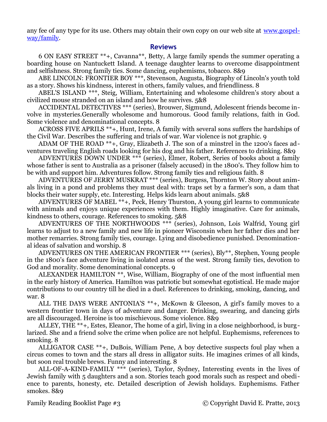any fee of any type for its use. Others may obtain their own copy on our web site at [www.gospel](http://www.gospelway/family)[way/family.](http://www.gospelway/family)

#### **Reviews**

6 ON EASY STREET \*\*+, Cavanna\*\*, Betty, A large family spends the summer operating a boarding house on Nantuckett Island. A teenage daughter learns to overcome disappointment and selfishness. Strong family ties. Some dancing, euphemisms, tobacco. 8&9

ABE LINCOLN: FRONTIER BOY \*\*\*, Stevenson, Augusta, Biography of Lincoln's youth told as a story. Shows his kindness, interest in others, family values, and friendliness. 8

ABEL'S ISLAND \*\*\*, Steig, William, Entertaining and wholesome children's story about a civilized mouse stranded on an island and how he survives. 5&8

ACCIDENTAL DETECTIVES \*\*\* (series), Brouwer, Sigmund, Adolescent friends become involve in mysteries.Generally wholesome and humorous. Good family relations, faith in God. Some violence and denominational concepts. 8

ACROSS FIVE APRILS \*\*+, Hunt, Irene, A family with several sons suffers the hardships of the Civil War. Describes the suffering and trials of war. War violence is not graphic. 9

ADAM OF THE ROAD \*\*+, Gray, Elizabeth J. The son of a minstrel in the 1200's faces adventures traveling English roads looking for his dog and his father. References to drinking. 8&9

ADVENTURES DOWN UNDER \*\*\* (series), Elmer, Robert, Series of books about a family whose father is sent to Australia as a prisoner (falsely accused) in the 1800's. They follow him to be with and support him. Adventures follow. Strong family ties and religious faith. 8

ADVENTURES OF JERRY MUSKRAT \*\*\* (series), Burgess, Thornton W. Story about animals living in a pond and problems they must deal with: traps set by a farmer's son, a dam that blocks their water supply, etc. Interesting. Helps kids learn about animals. 5&8

ADVENTURES OF MABEL \*\*+, Peck, Henry Thurston, A young girl learns to communicate with animals and enjoys unique experiences with them. Highly imaginative. Care for animals, kindness to others, courage. References to smoking. 5&8

ADVENTURES OF THE NORTHWOODS \*\*\* (series), Johnson, Lois Walfrid, Young girl learns to adjust to a new family and new life in pioneer Wisconsin when her father dies and her mother remarries. Strong family ties, courage. Lying and disobedience punished. Denominational ideas of salvation and worship. 8

ADVENTURES ON THE AMERICAN FRONTIER \*\*\* (series), Bly\*\*, Stephen, Young people in the 1800's face adventure living in isolated areas of the west. Strong family ties, devotion to God and morality. Some denominational concepts. 9

ALEXANDER HAMILTON \*\*, Wise, William, Biography of one of the most influential men in the early history of America. Hamilton was patriotic but somewhat egotistical. He made major contributions to our country till he died in a duel. References to drinking, smoking, dancing, and war. 8

ALL THE DAYS WERE ANTONIA'S \*\*+, McKown & Gleeson, A girl's family moves to a western frontier town in days of adventure and danger. Drinking, swearing, and dancing girls are all discouraged. Heroine is too mischievous. Some violence. 8&9

ALLEY, THE \*\*+, Estes, Eleanor, The home of a girl, living in a close neighborhood, is burglarized. She and a friend solve the crime when police are not helpful. Euphemisms, references to smoking. 8

ALLIGATOR CASE \*\*+, DuBois, William Pene, A boy detective suspects foul play when a circus comes to town and the stars all dress in alligator suits. He imagines crimes of all kinds, but soon real trouble brews. Funny and interesting. 8

ALL-OF-A-KIND-FAMILY \*\*\* (series), Taylor, Sydney, Interesting events in the lives of Jewish family with 5 daughters and a son. Stories teach good morals such as respect and obedience to parents, honesty, etc. Detailed description of Jewish holidays. Euphemisms. Father smokes. 8&9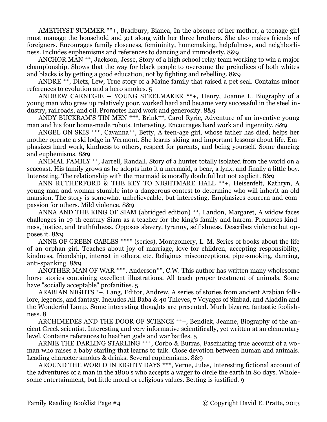AMETHYST SUMMER \*\*+, Bradbury, Bianca, In the absence of her mother, a teenage girl must manage the household and get along with her three brothers. She also makes friends of foreigners. Encourages family closeness, femininity, homemaking, helpfulness, and neighborliness. Includes euphemisms and references to dancing and immodesty. 8&9

ANCHOR MAN \*\*, Jackson, Jesse, Story of a high school relay team working to win a major championship. Shows that the way for black people to overcome the prejudices of both whites and blacks is by getting a good education, not by fighting and rebelling. 8&9

ANDRE \*\*, Dietz, Lew, True story of a Maine family that raised a pet seal. Contains minor references to evolution and a hero smokes. 5

ANDREW CARNEGIE -- YOUNG STEELMAKER \*\*+, Henry, Joanne L. Biography of a young man who grew up relatively poor, worked hard and became very successful in the steel industry, railroads, and oil. Promotes hard work and generosity. 8&9

ANDY BUCKRAM'S TIN MEN \*\*\*, Brink\*\*, Carol Ryrie, Adventure of an inventive young man and his four home-made robots. Interesting. Encourages hard work and ingenuity. 8&9

ANGEL ON SKIS \*\*\*, Cavanna\*\*, Betty, A teen-age girl, whose father has died, helps her mother operate a ski lodge in Vermont. She learns skiing and important lessons about life. Emphasizes hard work, kindness to others, respect for parents, and being yourself. Some dancing and euphemisms. 8&9

ANIMAL FAMILY \*\*, Jarrell, Randall, Story of a hunter totally isolated from the world on a seacoast. His family grows as he adopts into it a mermaid, a bear, a lynx, and finally a little boy. Interesting. The relationship with the mermaid is morally doubtful but not explicit. 8&9

ANN RUTHERFORD & THE KEY TO NIGHTMARE HALL \*\*+, Heisenfelt, Kathryn, A young man and woman stumble into a dangerous contest to determine who will inherit an old mansion. The story is somewhat unbelieveable, but interesting. Emphasizes concern and compassion for others. Mild violence. 8&9

ANNA AND THE KING OF SIAM (abridged edition) \*\*, Landon, Margaret, A widow faces challenges in 19-th century Siam as a teacher for the king's family and harem. Promotes kindness, justice, and truthfulness. Opposes slavery, tyranny, selfishness. Describes violence but opposes it. 8&9

ANNE OF GREEN GABLES \*\*\*\* (series), Montgomery, L. M. Series of books about the life of an orphan girl. Teaches about joy of marriage, love for children, accepting responsibility, kindness, friendship, interest in others, etc. Religious misconceptions, pipe-smoking, dancing, anti-spanking. 8&9

ANOTHER MAN OF WAR \*\*\*, Anderson<sup>\*\*</sup>, C.W. This author has written many wholesome horse stories containing excellent illustrations. All teach proper treatment of animals. Some have "socially acceptable" profanities. 5

ARABIAN NIGHTS \*+, Lang, Editor, Andrew, A series of stories from ancient Arabian folklore, legends, and fantasy. Includes Ali Baba & 40 Thieves, 7 Voyages of Sinbad, and Aladdin and the Wonderful Lamp. Some interesting thoughts are presented. Much bizarre, fantastic foolishness. 8

ARCHIMEDES AND THE DOOR OF SCIENCE \*\*+, Bendick, Jeanne, Biography of the ancient Greek scientist. Interesting and very informative scientifically, yet written at an elementary level. Contains references to heathen gods and war battles. 5

ARNIE THE DARLING STARLING \*\*\*, Corbo & Burras, Fascinating true account of a woman who raises a baby starling that learns to talk. Close devotion between human and animals. Leading character smokes & drinks. Several euphemisms. 8&9

AROUND THE WORLD IN EIGHTY DAYS \*\*\*, Verne, Jules, Interesting fictional account of the adventures of a man in the 1800's who accepts a wager to circle the earth in 80 days. Wholesome entertainment, but little moral or religious values. Betting is justified. 9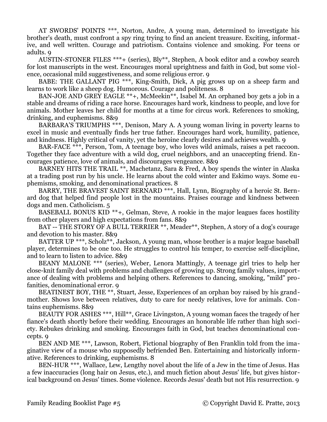AT SWORDS' POINTS \*\*\*, Norton, Andre, A young man, determined to investigate his brother's death, must confront a spy ring trying to find an ancient treasure. Exciting, informative, and well written. Courage and patriotism. Contains violence and smoking. For teens or adults. 9

AUSTIN-STONER FILES \*\*\*+ (series), Bly\*\*, Stephen, A book editor and a cowboy search for lost manuscripts in the west. Encourages moral uprightness and faith in God, but some violence, occasional mild suggestiveness, and some religious error. 9

BABE: THE GALLANT PIG \*\*\*, King-Smith, Dick, A pig grows up on a sheep farm and learns to work like a sheep dog. Humorous. Courage and politeness. 8

BAN-JOE AND GREY EAGLE \*\*+, McMeekin\*\*, Isabel M. An orphaned boy gets a job in a stable and dreams of riding a race horse. Encourages hard work, kindness to people, and love for animals. Mother leaves her child for months at a time for circus work. References to smoking, drinking, and euphemisms. 8&9

BARBARA'S TRIUMPHS \*\*\*, Denison, Mary A. A young woman living in poverty learns to excel in music and eventually finds her true father. Encourages hard work, humility, patience, and kindness. Highly critical of vanity, yet the heroine clearly desires and achieves wealth. 9

BAR-FACE \*\*\*, Person, Tom, A teenage boy, who loves wild animals, raises a pet raccoon. Together they face adventure with a wild dog, cruel neighbors, and an unaccepting friend. Encourages patience, love of animals, and discourages vengeance. 8&9

BARNEY HITS THE TRAIL \*\*, Machetanz, Sara & Fred, A boy spends the winter in Alaska at a trading post run by his uncle. He learns about the cold winter and Eskimo ways. Some euphemisms, smoking, and denominational practices. 8

BARRY, THE BRAVEST SAINT BERNARD \*\*\*, Hall, Lynn, Biography of a heroic St. Bernard dog that helped find people lost in the mountains. Praises courage and kindness between dogs and men. Catholicism. 5

BASEBALL BONUS KID \*\*+, Gelman, Steve, A rookie in the major leagues faces hostility from other players and high expectations from fans. 8&9

BAT -- THE STORY OF A BULL TERRIER \*\*, Meader\*\*, Stephen, A story of a dog's courage and devotion to his master. 8&9

BATTER UP \*\*\*, Scholz\*\*, Jackson, A young man, whose brother is a major league baseball player, determines to be one too. He struggles to control his temper, to exercise self-discipline, and to learn to listen to advice. 8&9

BEANY MALONE \*\*\* (series), Weber, Lenora Mattingly, A teenage girl tries to help her close-knit family deal with problems and challenges of growing up. Strong family values, importance of dealing with problems and helping others. References to dancing, smoking, "mild" profanities, denominational error. 9

BEATINEST BOY, THE \*\*, Stuart, Jesse, Experiences of an orphan boy raised by his grandmother. Shows love between relatives, duty to care for needy relatives, love for animals. Contains euphemisms. 8&9

BEAUTY FOR ASHES \*\*\*, Hill\*\*, Grace Livingston, A young woman faces the tragedy of her fiance's death shortly before their wedding. Encourages an honorable life rather than high society. Rebukes drinking and smoking. Encourages faith in God, but teaches denominational concepts. 9

BEN AND ME \*\*\*, Lawson, Robert, Fictional biography of Ben Franklin told from the imaginative view of a mouse who supposedly befriended Ben. Entertaining and historically informative. References to drinking, euphemisms. 8

BEN-HUR \*\*\*, Wallace, Lew, Lengthy novel about the life of a Jew in the time of Jesus. Has a few inaccuracies (long hair on Jesus, etc.), and much fiction about Jesus' life, but gives historical background on Jesus' times. Some violence. Records Jesus' death but not His resurrection. 9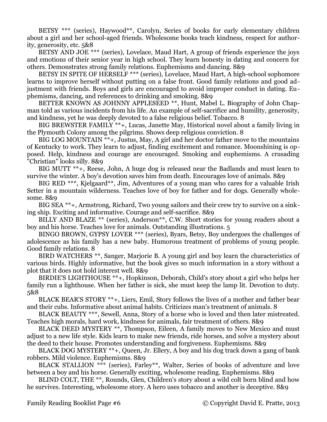BETSY \*\*\* (series), Haywood\*\*, Carolyn, Series of books for early elementary children about a girl and her school-aged friends. Wholesome books teach kindness, respect for authority, generosity, etc. 5&8

BETSY AND JOE \*\*\* (series), Lovelace, Maud Hart, A group of friends experience the joys and emotions of their senior year in high school. They learn honesty in dating and concern for others. Demonstrates strong family relations. Euphemisms and dancing. 8&9

BETSY IN SPITE OF HERSELF \*\*\* (series), Lovelace, Maud Hart, A high-school sophomore learns to improve herself without putting on a false front. Good family relations and good adjustment with friends. Boys and girls are encouraged to avoid improper conduct in dating. Euphemisms, dancing, and references to drinking and smoking. 8&9

BETTER KNOWN AS JOHNNY APPLESEED \*\*, Hunt, Mabel L. Biography of John Chapman told as various incidents from his life. An example of self-sacrifice and humility, generosity, and kindness, yet he was deeply devoted to a false religious belief. Tobacco. 8

BIG BREWSTER FAMILY \*\*+, Lucas, Janette May, Historical novel about a family living in the Plymouth Colony among the pilgrims. Shows deep religious conviction. 8

BIG LOG MOUNTAIN \*\*+, Justus, May, A girl and her doctor father move to the mountains of Kentucky to work. They learn to adjust, finding excitement and romance. Moonshining is opposed. Help, kindness and courage are encouraged. Smoking and euphemisms. A crusading "Christian" looks silly. 8&9

BIG MUTT \*\*+, Reese, John, A huge dog is released near the Badlands and must learn to survive the winter. A boy's devotion saves him from death. Encourages love of animals. 8&9

BIG RED<sup>\*\*\*</sup>, Kjelgaard<sup>\*\*</sup>, Jim, Adventures of a young man who cares for a valuable Irish Setter in a mountain wilderness. Teaches love of boy for father and for dogs. Generally wholesome. 8&9

BIG SEA \*\*+, Armstrong, Richard, Two young sailors and their crew try to survive on a sinking ship. Exciting and informative. Courage and self-sacrifice. 8&9

BILLY AND BLAZE \*\* (series), Anderson<sup>\*\*</sup>, C.W. Short stories for young readers about a boy and his horse. Teaches love for animals. Outstanding illustrations. 5

BINGO BROWN, GYPSY LOVER \*\*\* (series), Byars, Betsy, Boy undergoes the challenges of adolescence as his family has a new baby. Humorous treatment of problems of young people. Good family relations. 8

BIRD WATCHERS \*\*, Sanger, Marjorie B. A young girl and boy learn the characteristics of various birds. Highly informative, but the book gives so much information in a story without a plot that it does not hold interest well. 8&9

BIRDIE'S LIGHTHOUSE \*\*+, Hopkinson, Deborah, Child's story about a girl who helps her family run a lighthouse. When her father is sick, she must keep the lamp lit. Devotion to duty. 5&8

BLACK BEAR'S STORY \*\*+, Liers, Emil, Story follows the lives of a mother and father bear and their cubs. Informative about animal habits. Criticizes man's treatment of animals. 8

BLACK BEAUTY \*\*\*, Sewell, Anna, Story of a horse who is loved and then later mistreated. Teaches high morals, hard work, kindness for animals, fair treatment of others. 8&9

BLACK DEED MYSTERY \*\*, Thompson, Eileen, A family moves to New Mexico and must adjust to a new life style. Kids learn to make new friends, ride horses, and solve a mystery about the deed to their house. Promotes understanding and forgiveness. Euphemisms. 8&9

BLACK DOG MYSTERY \*\*+, Queen, Jr. Ellery, A boy and his dog track down a gang of bank robbers. Mild violence. Euphemisms. 8&9

BLACK STALLION \*\*\* (series), Farley\*\*, Walter, Series of books of adventure and love between a boy and his horse. Generally exciting, wholesome reading. Euphemisms. 8&9

BLIND COLT, THE \*\*, Rounds, Glen, Children's story about a wild colt born blind and how he survives. Interesting, wholesome story. A hero uses tobacco and another is deceptive. 8&9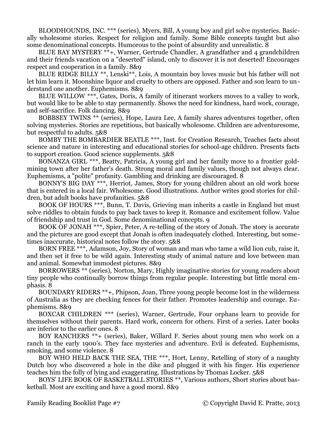BLOODHOUNDS, INC. \*\*\* (series), Myers, Bill, A young boy and girl solve mysteries. Basically wholesome stories. Respect for religion and family. Some Bible concepts taught but also some denominational concepts. Humorous to the point of absurdity and unrealistic. 8

BLUE BAY MYSTERY \*\*+, Warner, Gertrude Chandler, A grandfather and 4 grandchildren and their friends vacation on a "deserted" island, only to discover it is not deserted! Encourages respect and cooperation in a family. 8&9

BLUE RIDGE BILLY \*\*, Lenski\*\*, Lois, A mountain boy loves music but his father will not let him learn it. Moonshine liquor and cruelty to others are opposed. Father and son learn to understand one another. Euphemisms. 8&9

BLUE WILLOW \*\*\*, Gates, Doris, A family of itinerant workers moves to a valley to work, but would like to be able to stay permanently. Shows the need for kindness, hard work, courage, and self-sacrifice. Folk dancing. 8&9

BOBBSEY TWINS \*\* (series), Hope, Laura Lee, A family shares adventures together, often solving mysteries. Stories are repetitious, but basically wholesome. Children are adventuresome, but respectful to adults. 5&8

BOMBY THE BOMBARDIER BEATLE \*\*\*, Inst. for Creation Research, Teaches facts about science and nature in interesting and educational stories for school-age children. Presents facts to support creation. Good science supplements. 5&8

BONANZA GIRL \*\*\*, Beatty, Patricia, A young girl and her family move to a frontier goldmining town after her father's death. Strong moral and family values, though not always clear. Euphemisms, a "polite" profanity. Gambling and drinking are discouraged. 8

BONNY'S BIG DAY \*\*\*, Herriot, James, Story for young children about an old work horse that is entered in a local fair. Wholesome. Good illustrations. Author writes good stories for children, but adult books have profanities. 5&8

BOOK OF HOURS \*\*\*, Bunn, T. Davis, Grieving man inherits a castle in England but must solve riddles to obtain funds to pay back taxes to keep it. Romance and excitement follow. Value of friendship and trust in God. Some denominational concepts. 9

BOOK OF JONAH \*\*\*, Spier, Peter, A re-telling of the story of Jonah. The story is accurate and the pictures are good except that Jonah is often inadequately clothed. Interesting, but sometimes inaccurate, historical notes follow the story. 5&8

BORN FREE \*\*\*, Adamson, Joy, Story of woman and man who tame a wild lion cub, raise it, and then set it free to be wild again. Interesting study of animal nature and love between man and animal. Somewhat immodest pictures. 8&9

BORROWERS \*\* (series), Norton, Mary, Highly imaginative stories for young readers about tiny people who continually borrow things from regular people. Interesting but little moral emphasis. 8

BOUNDARY RIDERS \*\*+, Phipson, Joan, Three young people become lost in the wilderness of Australia as they are checking fences for their father. Promotes leadership and courage. Euphemisms. 8&9

BOXCAR CHILDREN \*\*\* (series), Warner, Gertrude, Four orphans learn to provide for themselves without their parents. Hard work, concern for others. First of a series. Later books are inferior to the earlier ones. 8

BOY RANCHERS \*\*+ (series), Baker, Willard F. Series about young men who work on a ranch in the early 1900's. They face mysteries and adventure. Evil is defeated. Euphemisms, smoking, and some violence. 8

BOY WHO HELD BACK THE SEA, THE \*\*\*, Hort, Lenny, Retelling of story of a naughty Dutch boy who discovered a hole in the dike and plugged it with his finger. His experience teaches him the folly of lying and exaggerating. Illustrations by Thomas Locker. 5&8

BOYS' LIFE BOOK OF BASKETBALL STORIES \*\*, Various authors, Short stories about basketball. Most are exciting and have a good moral. 8&9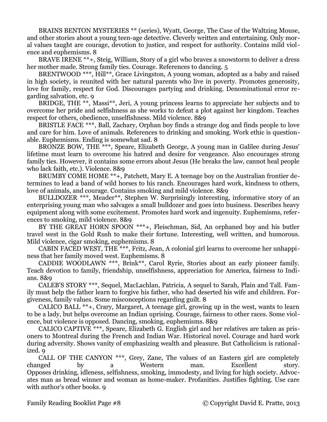BRAINS BENTON MYSTERIES \*\* (series), Wyatt, George, The Case of the Waltzing Mouse, and other stories about a young teen-age detective. Cleverly written and entertaining. Only moral values taught are courage, devotion to justice, and respect for authority. Contains mild violence and euphemisms. 8

BRAVE IRENE \*\*+, Steig, William, Story of a girl who braves a snowstorm to deliver a dress her mother made. Strong family ties. Courage. References to dancing. 5

BRENTWOOD \*\*\*, Hill\*\*, Grace Livingston, A young woman, adopted as a baby and raised in high society, is reunited with her natural parents who live in poverty. Promotes generosity, love for family, respect for God. Discourages partying and drinking. Denominational error regarding salvation, etc. 9

BRIDGE, THE \*\*, Massi\*\*, Jeri, A young princess learns to appreciate her subjects and to overcome her pride and selfishness as she works to defeat a plot against her kingdom. Teaches respect for others, obedience, unselfishness. Mild violence. 8&9

BRISTLE FACE \*\*\*, Ball, Zachary, Orphan boy finds a strange dog and finds people to love and care for him. Love of animals. References to drinking and smoking. Work ethic is questionable. Euphemisms. Ending is somewhat sad. 8

BRONZE BOW, THE \*\*\*, Speare, Elizabeth George, A young man in Galilee during Jesus' lifetime must learn to overcome his hatred and desire for vengeance. Also encourages strong family ties. However, it contains some errors about Jesus (He breaks the law, cannot heal people who lack faith, etc.). Violence. 8&9

BRUMBY COME HOME \*\*+, Patchett, Mary E. A teenage boy on the Australian frontier determines to lead a band of wild horses to his ranch. Encourages hard work, kindness to others, love of animals, and courage. Contains smoking and mild violence. 8&9

BULLDOZER \*\*\*, Meader\*\*, Stephen W. Surprisingly interesting, informative story of an enterprising young man who salvages a small bulldozer and goes into business. Describes heavy equipment along with some excitement. Promotes hard work and ingenuity. Euphemisms, references to smoking, mild violence. 8&9

BY THE GREAT HORN SPOON \*\*\*+, Fleischman, Sid, An orphaned boy and his butler travel west in the Gold Rush to make their fortune. Interesting, well written, and humorous. Mild violence, cigar smoking, euphemisms. 8

CABIN FACED WEST, THE \*\*\*, Fritz, Jean, A colonial girl learns to overcome her unhappiness that her family moved west. Euphemisms. 8

CADDIE WOODLAWN \*\*\*, Brink\*\*, Carol Ryrie, Stories about an early pioneer family. Teach devotion to family, friendship, unselfishness, appreciation for America, fairness to Indians. 8&9

CALEB'S STORY \*\*\*, Sequel, MacLachlan, Patricia, A sequel to Sarah, Plain and Tall. Family must help the father learn to forgive his father, who had deserted his wife and children. Forgiveness, family values. Some misconceptions regarding guilt. 8

CALICO BALL \*\*+, Crary, Margaret, A teenage girl, growing up in the west, wants to learn to be a lady, but helps overcome an Indian uprising. Courage, fairness to other races. Some violence, but violence is opposed. Dancing, smoking, euphemisms. 8&9

CALICO CAPTIVE \*\*\*, Speare, Elizabeth G. English girl and her relatives are taken as prisoners to Montreal during the French and Indian War. Historical novel. Courage and hard work during adversity. Shows vanity of emphasizing wealth and pleasure. But Catholicism is rationalized. 9

CALL OF THE CANYON \*\*\*, Grey, Zane, The values of an Eastern girl are completely changed by a Western man. Excellent story. Opposes drinking, idleness, selfishness, smoking, immodesty, and living for high society. Advocates man as bread winner and woman as home-maker. Profanities. Justifies fighting. Use care with author's other books. 9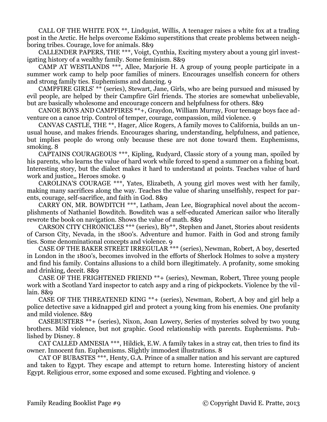CALL OF THE WHITE FOX \*\*, Lindquist, Willis, A teenager raises a white fox at a trading post in the Arctic. He helps overcome Eskimo superstitions that create problems between neighboring tribes. Courage, love for animals. 8&9

CALLENDER PAPERS, THE \*\*\*, Voigt, Cynthia, Exciting mystery about a young girl investigating history of a wealthy family. Some feminism. 8&9

CAMP AT WESTLANDS \*\*\*, Allee, Marjorie H. A group of young people participate in a summer work camp to help poor families of miners. Encourages unselfish concern for others and strong family ties. Euphemisms and dancing. 9

CAMPFIRE GIRLS' \*\* (series), Stewart, Jane, Girls, who are being pursued and misused by evil people, are helped by their Campfire Girl friends. The stories are somewhat unbelievable, but are basically wholesome and encourage concern and helpfulness for others. 8&9

CANOE BOYS AND CAMPFIRES \*\*+, Graydon, William Murray, Four teenage boys face adventure on a canoe trip. Control of temper, courage, compassion, mild violence. 9

CANVAS CASTLE, THE \*\*, Hager, Alice Rogers, A family moves to California, builds an unusual house, and makes friends. Encourages sharing, understanding, helpfulness, and patience, but implies people do wrong only because these are not done toward them. Euphemisms, smoking. 8

CAPTAINS COURAGEOUS \*\*\*, Kipling, Rudyard, Classic story of a young man, spoiled by his parents, who learns the value of hard work while forced to spend a summer on a fishing boat. Interesting story, but the dialect makes it hard to understand at points. Teaches value of hard work and justice,, Heroes smoke. 9

CAROLINA'S COURAGE \*\*\*, Yates, Elizabeth, A young girl moves west with her family, making many sacrifices along the way. Teaches the value of sharing unselfishly, respect for parents, courage, self-sacrifice, and faith in God. 8&9

CARRY ON, MR. BOWDITCH \*\*\*, Latham, Jean Lee, Biographical novel about the accomplishments of Nathaniel Bowditch. Bowditch was a self-educated American sailor who literally rewrote the book on navigation. Shows the value of math. 8&9

CARSON CITY CHRONICLES \*\*\* (series), Bly\*\*, Stephen and Janet, Stories about residents of Carson City, Nevada, in the 1800's. Adventure and humor. Faith in God and strong family ties. Some denominational concepts and violence. 9

CASE OF THE BAKER STREET IRREGULAR \*\*\* (series), Newman, Robert, A boy, deserted in London in the 1800's, becomes involved in the efforts of Sherlock Holmes to solve a mystery and find his family. Contains allusions to a child born illegitimately. A profanity, some smoking and drinking, deceit. 8&9

CASE OF THE FRIGHTENED FRIEND \*\*+ (series), Newman, Robert, Three young people work with a Scotland Yard inspector to catch aspy and a ring of pickpockets. Violence by the villain. 8&9

CASE OF THE THREATENED KING \*\*+ (series), Newman, Robert, A boy and girl help a police detective save a kidnapped girl and protect a young king from his enemies. One profanity and mild violence. 8&9

CASEBUSTERS \*\*+ (series), Nixon, Joan Lowery, Series of mysteries solved by two young brothers. Mild violence, but not graphic. Good relationship with parents. Euphemisms. Published by Disney. 8

CAT CALLED AMNESIA \*\*\*, Hildick, E.W. A family takes in a stray cat, then tries to find its owner. Innocent fun. Euphemisms. Slightly immodest illustrations. 8

CAT OF BUBASTES \*\*\*, Henty, G.A. Prince of a smaller nation and his servant are captured and taken to Egypt. They escape and attempt to return home. Interesting history of ancient Egypt. Religious error, some exposed and some excused. Fighting and violence. 9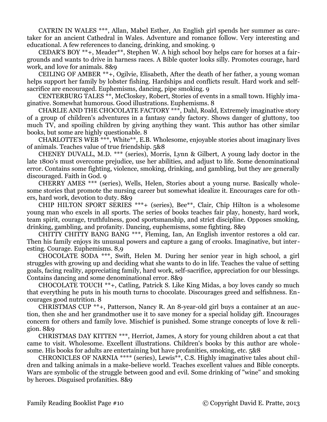CATRIN IN WALES \*\*\*, Allan, Mabel Esther, An English girl spends her summer as caretaker for an ancient Cathedral in Wales. Adventure and romance follow. Very interesting and educational. A few references to dancing, drinking, and smoking. 9

CEDAR'S BOY \*\*+, Meader\*\*, Stephen W. A high school boy helps care for horses at a fairgrounds and wants to drive in harness races. A Bible quoter looks silly. Promotes courage, hard work, and love for animals. 8&9

CEILING OF AMBER \*\*+, Ogilvie, Elisabeth, After the death of her father, a young woman helps support her family by lobster fishing. Hardships and conflicts result. Hard work and selfsacrifice are encouraged. Euphemisms, dancing, pipe smoking. 9

CENTERBURG TALES \*\*, McCloskey, Robert, Stories of events in a small town. Highly imaginative. Somewhat humorous. Good illustrations. Euphemisms. 8

CHARLIE AND THE CHOCOLATE FACTORY \*\*\*, Dahl, Roald, Extremely imaginative story of a group of children's adventures in a fantasy candy factory. Shows danger of gluttony, too much TV, and spoiling children by giving anything they want. This author has other similar books, but some are highly questionable. 8

CHARLOTTE'S WEB \*\*\*, White\*\*, E.B. Wholesome, enjoyable stories about imaginary lives of animals. Teaches value of true friendship. 5&8

CHENEY DUVALL, M.D. \*\*\* (series), Morris, Lynn & Gilbert, A young lady doctor in the late 1800's must overcome prejudice, use her abilities, and adjust to life. Some denominational error. Contains some fighting, violence, smoking, drinking, and gambling, but they are generally discouraged. Faith in God. 9

CHERRY AMES \*\*\* (series), Wells, Helen, Stories about a young nurse. Basically wholesome stories that promote the nursing career but somewhat idealize it. Encourages care for others, hard work, devotion to duty. 8&9

CHIP HILTON SPORT SERIES \*\*\*+ (series), Bee\*\*, Clair, Chip Hilton is a wholesome young man who excels in all sports. The series of books teaches fair play, honesty, hard work, team spirit, courage, truthfulness, good sportsmanship, and strict discipline. Opposes smoking, drinking, gambling, and profanity. Dancing, euphemisms, some fighting. 8&9

CHITTY CHITTY BANG BANG \*\*\*, Fleming, Ian, An English inventor restores a old car. Then his family enjoys its unusual powers and capture a gang of crooks. Imaginative, but interesting. Courage. Euphemisms. 8,9

CHOCOLATE SODA \*\*\*, Swift, Helen M. During her senior year in high school, a girl struggles with growing up and deciding what she wants to do in life. Teaches the value of setting goals, facing reality, appreciating family, hard work, self-sacrifice, appreciation for our blessings. Contains dancing and some denominational error. 8&9

CHOCOLATE TOUCH \*\*+, Catling, Patrick S. Like King Midas, a boy loves candy so much that everything he puts in his mouth turns to chocolate. Discourages greed and selfishness. Encourages good nutrition. 8

CHRISTMAS CUP \*\*+, Patterson, Nancy R. An 8-year-old girl buys a container at an auction, then she and her grandmother use it to save money for a special holiday gift. Encourages concern for others and family love. Mischief is punished. Some strange concepts of love & religion. 8&9

CHRISTMAS DAY KITTEN \*\*\*, Herriot, James, A story for young children about a cat that came to visit. Wholesome. Excellent illustrations. Children's books by this author are wholesome. His books for adults are entertaining but have profanities, smoking, etc. 5&8

CHRONICLES OF NARNIA \*\*\*\* (series), Lewis\*\*, C.S. Highly imaginative tales about children and talking animals in a make-believe world. Teaches excellent values and Bible concepts. Wars are symbolic of the struggle between good and evil. Some drinking of "wine" and smoking by heroes. Disguised profanities. 8&9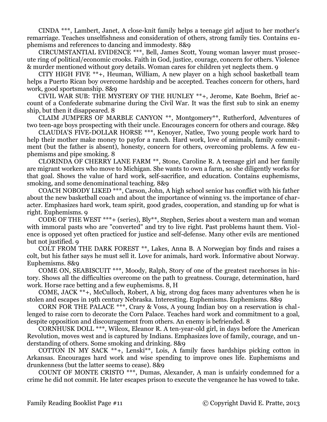CINDA \*\*\*, Lambert, Janet, A close-knit family helps a teenage girl adjust to her mother's remarriage. Teaches unselfishness and consideration of others, strong family ties. Contains euphemisms and references to dancing and immodesty. 8&9

CIRCUMSTANTIAL EVIDENCE \*\*\*, Bell, James Scott, Young woman lawyer must prosecute ring of political/economic crooks. Faith in God, justice, courage, concern for others. Violence & murder mentioned without gory details. Woman cares for children yet neglects them. 9

CITY HIGH FIVE \*\*+, Heuman, William, A new player on a high school basketball team helps a Puerto Rican boy overcome hardship and be accepted. Teaches concern for others, hard work, good sportsmanship. 8&9

CIVIL WAR SUB: THE MYSTERY OF THE HUNLEY \*\*+, Jerome, Kate Boehm, Brief account of a Confederate submarine during the Civil War. It was the first sub to sink an enemy ship, but then it disappeared. 8

CLAIM JUMPERS OF MARBLE CANYON \*\*, Montgomery\*\*, Rutherford, Adventures of two teen-age boys prospecting with their uncle. Encourages concern for others and courage. 8&9

CLAUDIA'S FIVE-DOLLAR HORSE \*\*\*, Kenoyer, Natlee, Two young people work hard to help their mother make money to payfor a ranch. Hard work, love of animals, family commitment (but the father is absent), honesty, concern for others, overcoming problems. A few euphemisms and pipe smoking. 8

CLORINDA OF CHERRY LANE FARM \*\*, Stone, Caroline R. A teenage girl and her family are migrant workers who move to Michigan. She wants to own a farm, so she diligently works for that goal. Shows the value of hard work, self-sacrifice, and education. Contains euphemisms, smoking, and some denominational teaching. 8&9

COACH NOBODY LIKED \*\*\*, Carson, John, A high school senior has conflict with his father about the new basketball coach and about the importance of winning vs. the importance of character. Emphasizes hard work, team spirit, good grades, cooperation, and standing up for what is right. Euphemisms. 9

CODE OF THE WEST \*\*\*+ (series), Bly\*\*, Stephen, Series about a western man and woman with immoral pasts who are "converted" and try to live right. Past problems haunt them. Violence is opposed yet often practiced for justice and self-defense. Many other evils are mentioned but not justified. 9

COLT FROM THE DARK FOREST \*\*, Lakes, Anna B. A Norwegian boy finds and raises a colt, but his father says he must sell it. Love for animals, hard work. Informative about Norway. Euphemisms. 8&9

COME ON, SEABISCUIT \*\*\*, Moody, Ralph, Story of one of the greatest racehorses in history. Shows all the difficulties overcome on the path to greatness. Courage, determination, hard work. Horse race betting and a few euphemisms. 8, H

COME, JACK \*\*+, McCulloch, Robert, A big, strong dog faces many adventures when he is stolen and escapes in 19th century Nebraska. Interesting. Euphemisms. Euphemisms. 8&9

CORN FOR THE PALACE \*\*\*, Crary & Voss, A young Indian boy on a reservation is challenged to raise corn to decorate the Corn Palace. Teaches hard work and commitment to a goal, despite opposition and discouragement from others. An enemy is befriended. 8

CORNHUSK DOLL \*\*\*, Wilcox, Eleanor R. A ten-year-old girl, in days before the American Revolution, moves west and is captured by Indians. Emphasizes love of family, courage, and understanding of others. Some smoking and drinking. 8&9

COTTON IN MY SACK \*\*+, Lenski\*\*, Lois, A family faces hardships picking cotton in Arkansas. Encourages hard work and wise spending to improve ones life. Euphemisms and drunkenness (but the latter seems to cease). 8&9

COUNT OF MONTE CRISTO \*\*\*, Dumas, Alexander, A man is unfairly condemned for a crime he did not commit. He later escapes prison to execute the vengeance he has vowed to take.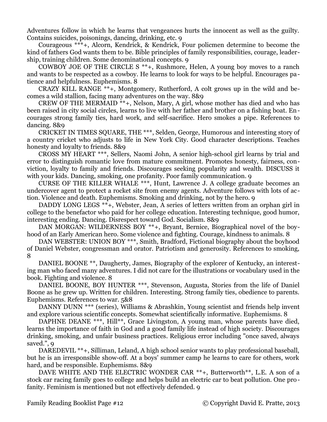Adventures follow in which he learns that vengeances hurts the innocent as well as the guilty. Contains suicides, poisonings, dancing, drinking, etc. 9

Courageous \*\*\*+, Alcorn, Kendrick, & Kendrick, Four policmen determine to become the kind of fathers God wants them to be. Bible principles of family responsibilities, courage, leadership, training children. Some denominational concepts. 9

COWBOY JOE OF THE CIRCLE S \*\*+, Rushmore, Helen, A young boy moves to a ranch and wants to be respected as a cowboy. He learns to look for ways to be helpful. Encourages patience and helpfulness. Euphemisms. 8

CRAZY KILL RANGE \*\*+, Montgomery, Rutherford, A colt grows up in the wild and becomes a wild stallion, facing many adventures on the way. 8&9

CREW OF THE MERMAID \*\*+, Nelson, Mary, A girl, whose mother has died and who has been raised in city social circles, learns to live with her father and brother on a fishing boat. Encourages strong family ties, hard work, and self-sacrifice. Hero smokes a pipe. References to dancing. 8&9

CRICKET IN TIMES SQUARE, THE \*\*\*, Selden, George, Humorous and interesting story of a country cricket who adjusts to life in New York City. Good character descriptions. Teaches honesty and loyalty to friends. 8&9

CROSS MY HEART \*\*\*, Sellers, Naomi John, A senior high-school girl learns by trial and error to distinguish romantic love from mature commitment. Promotes honesty, fairness, conviction, loyalty to family and friends. Discourages seeking popularity and wealth. DISCUSS it with your kids. Dancing, smoking, one profanity. Poor family communication. 9

CURSE OF THE KILLER WHALE \*\*\*, Hunt, Lawrence J. A college graduate becomes an undercover agent to protect a rocket site from enemy agents. Adventure follows with lots of action. Violence and death. Euphemisms. Smoking and drinking, not by the hero. 9

DADDY LONG LEGS \*\*+, Webster, Jean, A series of letters written from an orphan girl in college to the benefactor who paid for her college education. Interesting technique, good humor, interesting ending. Dancing. Disrespect toward God. Socialism. 8&9

DAN MORGAN: WILDERNESS BOY \*\*+, Bryant, Bernice, Biographical novel of the boyhood of an Early American hero. Some violence and fighting. Courage, kindness to animals. 8

DAN WEBSTER: UNION BOY \*\*\*, Smith, Bradford, Fictional biography about the boyhood of Daniel Webster, congressman and orator. Patriotism and generosity. References to smoking, 8

DANIEL BOONE \*\*, Daugherty, James, Biography of the explorer of Kentucky, an interesting man who faced many adventures. I did not care for the illustrations or vocabulary used in the book. Fighting and violence. 8

DANIEL BOONE, BOY HUNTER \*\*\*, Stevenson, Augusta, Stories from the life of Daniel Boone as he grew up. Written for children. Interesting. Strong family ties, obedience to parents. Euphemisms. References to war. 5&8

DANNY DUNN \*\*\* (series), Williams & Abrashkin, Young scientist and friends help invent and explore various scientific concepts. Somewhat scientifically informative. Euphemisms. 8

DAPHNE DEANE \*\*\*, Hill\*\*, Grace Livingston, A young man, whose parents have died, learns the importance of faith in God and a good family life instead of high society. Discourages drinking, smoking, and unfair business practices. Religious error including "once saved, always saved.", 9

DAREDEVIL \*\*+, Silliman, Leland, A high school senior wants to play professional baseball, but he is an irresponsible show-off. At a boys' summer camp he learns to care for others, work hard, and be responsible. Euphemisms. 8&9

DAVE WHITE AND THE ELECTRIC WONDER CAR \*\*+, Butterworth\*\*, L.E. A son of a stock car racing family goes to college and helps build an electric car to beat pollution. One profanity. Feminism is mentioned but not effectively defended. 9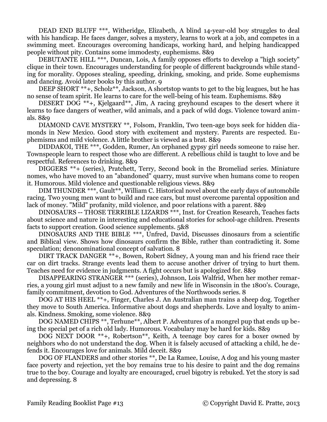DEAD END BLUFF \*\*\*, Witheridge, Elizabeth, A blind 14-year-old boy struggles to deal with his handicap. He faces danger, solves a mystery, learns to work at a job, and competes in a swimming meet. Encourages overcoming handicaps, working hard, and helping handicapped people without pity. Contains some immodesty, euphemisms. 8&9

DEBUTANTE HILL \*\*\*, Duncan, Lois, A family opposes efforts to develop a "high society" clique in their town. Encourages understanding for people of different backgrounds while standing for morality. Opposes stealing, speeding, drinking, smoking, and pride. Some euphemisms and dancing. Avoid later books by this author. 9

DEEP SHORT \*\*+, Scholz\*\*, Jackson, A shortstop wants to get to the big leagues, but he has no sense of team spirit. He learns to care for the well-being of his team. Euphemisms. 8&9

DESERT DOG \*\*+, Kjelgaard\*\*, Jim, A racing greyhound escapes to the desert where it learns to face dangers of weather, wild animals, and a pack of wild dogs. Violence toward animals. 8&9

DIAMOND CAVE MYSTERY \*\*, Folsom, Franklin, Two teen-age boys seek for hidden diamonds in New Mexico. Good story with excitement and mystery. Parents are respected. Euphemisms and mild violence. A little brother is viewed as a brat. 8&9

DIDDAKOI, THE \*\*\*, Godden, Rumer, An orphaned gypsy girl needs someone to raise her. Townspeople learn to respect those who are different. A rebellious child is taught to love and be respectful. References to drinking. 8&9

DIGGERS \*\*+ (series), Pratchett, Terry, Second book in the Bromeliad series. Miniature nomes, who have moved to an "abandoned" quarry, must survive when humans come to reopen it. Humorous. Mild violence and questionable religious views. 8&9

DIM THUNDER \*\*\*, Gault\*\*, William C. Historical novel about the early days of automobile racing. Two young men want to build and race cars, but must overcome parental opposition and lack of money. "Mild" profanity, mild violence, and poor relations with a parent. 8&9

DINOSAURS -- THOSE TERRIBLE LIZARDS \*\*\*, Inst. for Creation Research, Teaches facts about science and nature in interesting and educational stories for school-age children. Presents facts to support creation. Good science supplements. 5&8

DINOSAURS AND THE BIBLE \*\*\*, Unfred, David, Discusses dinosaurs from a scientific and Biblical view. Shows how dinosaurs confirm the Bible, rather than contradicting it. Some speculation; denonominational concept of salvation. 8

DIRT TRACK DANGER \*\*+, Bowen, Robert Sidney, A young man and his friend race their car on dirt tracks. Strange events lead them to accuse another driver of trying to hurt them. Teaches need for evidence in judgments. A fight occurs but is apologized for. 8&9

DISAPPEARING STRANGER \*\*\* (series), Johnson, Lois Walfrid, When her mother remarries, a young girl must adjust to a new family and new life in Wisconsin in the 1800's. Courage, family commitment, devotion to God. Adventures of the Northwoods series. 8

DOG AT HIS HEEL \*\*+, Finger, Charles J. An Australian man trains a sheep dog. Together they move to South America. Informative about dogs and shepherds. Love and loyalty to animals. Kindness. Smoking, some violence. 8&9

DOG NAMED CHIPS \*\*, Terhune\*\*, Albert P. Adventures of a mongrel pup that ends up being the special pet of a rich old lady. Humorous. Vocabulary may be hard for kids. 8&9

DOG NEXT DOOR \*\*+, Robertson<sup>\*\*</sup>, Keith, A teenage boy cares for a boxer owned by neighbors who do not understand the dog. When it is falsely accused of attacking a child, he defends it. Encourages love for animals. Mild deceit. 8&9

DOG OF FLANDERS and other stories \*\*, De La Ramee, Louise, A dog and his young master face poverty and rejection, yet the boy remains true to his desire to paint and the dog remains true to the boy. Courage and loyalty are encouraged, cruel bigotry is rebuked. Yet the story is sad and depressing. 8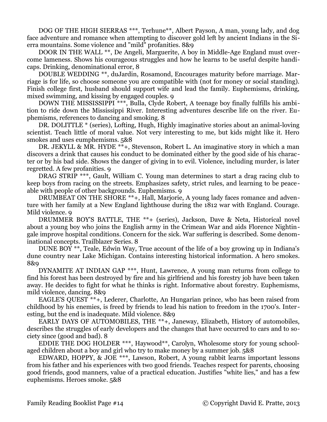DOG OF THE HIGH SIERRAS \*\*\*, Terhune\*\*, Albert Payson, A man, young lady, and dog face adventure and romance when attempting to discover gold left by ancient Indians in the Sierra mountains. Some violence and "mild" profanities. 8&9

DOOR IN THE WALL \*\*, De Angeli, Marguerite, A boy in Middle-Age England must overcome lameness. Shows his courageous struggles and how he learns to be useful despite handicaps. Drinking, denominational error, 8

DOUBLE WEDDING \*\*, duJardin, Rosamond, Encourages maturity before marriage. Marriage is for life, so choose someone you are compatible with (not for money or social standing). Finish college first, husband should support wife and lead the family. Euphemisms, drinking, mixed swimming, and kissing by engaged couples. 9

DOWN THE MISSISSIPPI \*\*\*, Bulla, Clyde Robert, A teenage boy finally fulfills his ambition to ride down the Mississippi River. Interesting adventures describe life on the river. Euphemisms, references to dancing and smoking. 8

DR. DOLITTLE \* (series), Lofting, Hugh, Highly imaginative stories about an animal-loving scientist. Teach little of moral value. Not very interesting to me, but kids might like it. Hero smokes and uses eumphemisms. 5&8

DR. JEKYLL & MR. HYDE \*\*+, Stevenson, Robert L. An imaginative story in which a man discovers a drink that causes his conduct to be dominated either by the good side of his character or by his bad side. Shows the danger of giving in to evil. Violence, including murder, is later regretted. A few profanities. 9

DRAG STRIP \*\*\*, Gault, William C. Young man determines to start a drag racing club to keep boys from racing on the streets. Emphasizes safety, strict rules, and learning to be peaceable with people of other backgrounds. Euphemisms. 9

DRUMBEAT ON THE SHORE \*\*+, Hall, Marjorie, A young lady faces romance and adventure with her family at a New England lighthouse during the 1812 war with England. Courage. Mild violence. 9

DRUMMER BOY'S BATTLE, THE \*\*+ (series), Jackson, Dave & Neta, Historical novel about a young boy who joins the English army in the Crimean War and aids Florence Nightingale improve hospital conditions. Concern for the sick. War suffering is described. Some denominational concepts. Trailblazer Series. 8

DUNE BOY \*\*, Teale, Edwin Way, True account of the life of a boy growing up in Indiana's dune country near Lake Michigan. Contains interesting historical information. A hero smokes. 8&9

DYNAMITE AT INDIAN GAP \*\*\*, Hunt, Lawrence, A young man returns from college to find his forest has been destroyed by fire and his girlfriend and his forestry job have been taken away. He decides to fight for what he thinks is right. Informative about forestry. Euphemisms, mild violence, dancing. 8&9

EAGLE'S QUEST \*\*+, Lederer, Charlotte, An Hungarian prince, who has been raised from childhood by his enemies, is freed by friends to lead his nation to freedom in the 1700's. Inter esting, but the end is inadequate. Mild violence. 8&9

EARLY DAYS OF AUTOMOBILES, THE \*\*+, Janeway, Elizabeth, History of automobiles, describes the struggles of early developers and the changes that have occurred to cars and to society since (good and bad). 8

EDDIE THE DOG HOLDER \*\*\*, Haywood\*\*, Carolyn, Wholesome story for young schoolaged children about a boy and girl who try to make money by a summer job. 5&8

EDWARD, HOPPY, & JOE \*\*\*, Lawson, Robert, A young rabbit learns important lessons from his father and his experiences with two good friends. Teaches respect for parents, choosing good friends, good manners, value of a practical education. Justifies "white lies," and has a few euphemisms. Heroes smoke. 5&8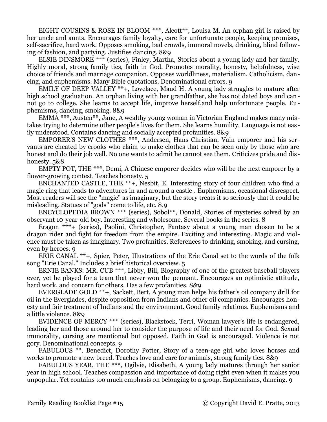EIGHT COUSINS & ROSE IN BLOOM \*\*\*, Alcott\*\*, Louisa M. An orphan girl is raised by her uncle and aunts. Encourages family loyalty, care for unfortunate people, keeping promises, self-sacrifice, hard work. Opposes smoking, bad crowds, immoral novels, drinking, blind following of fashion, and partying. Justifies dancing. 8&9

ELSIE DINSMORE \*\*\* (series), Finley, Martha, Stories about a young lady and her family. Highly moral, strong family ties, faith in God. Promotes morality, honesty, helpfulness, wise choice of friends and marriage companion. Opposes worldliness, materialism, Catholicism, dancing, and euphemisms. Many Bible quotations. Denominational errors. 9

EMILY OF DEEP VALLEY  $**$ +, Lovelace, Maud H. A young lady struggles to mature after high school graduation. An orphan living with her grandfather, she has not dated boys and cannot go to college. She learns to accept life, improve herself,and help unfortunate people. Euphemisms, dancing, smoking. 8&9

EMMA \*\*\*, Austen\*\*, Jane, A wealthy young woman in Victorian England makes many mistakes trying to determine other people's lives for them. She learns humility. Language is not easily understood. Contains dancing and socially accepted profanities. 8&9

EMPORER'S NEW CLOTHES \*\*\*, Andersen, Hans Christian, Vain emporer and his servants are cheated by crooks who claim to make clothes that can be seen only by those who are honest and do their job well. No one wants to admit he cannot see them. Criticizes pride and dishonesty. 5&8

EMPTY POT, THE \*\*\*, Demi, A Chinese emporer decides who will be the next emporer by a flower-growing contest. Teaches honesty. 5

ENCHANTED CASTLE, THE \*\*+, Nesbit, E. Interesting story of four children who find a magic ring that leads to adventures in and around a castle . Euphemisms, occasional disrespect. Most readers will see the "magic" as imaginary, but the story treats it so seriously that it could be misleading. Statues of "gods" come to life, etc. 8,9

ENCYCLOPEDIA BROWN \*\*\* (series), Sobol\*\*, Donald, Stories of mysteries solved by an observant 10-year-old boy. Interesting and wholesome. Several books in the series. 8

Eragon \*\*\*+ (series), Paolini, Christopher, Fantasy about a young man chosen to be a dragon rider and fight for freedom from the empire. Exciting and interesting. Magic and violence must be taken as imaginary. Two profanities. References to drinking, smoking, and cursing, even by heroes. 9

ERIE CANAL \*\*+, Spier, Peter, Illustrations of the Erie Canal set to the words of the folk song "Erie Canal." Includes a brief historical overview. 5

ERNIE BANKS: MR. CUB \*\*\*, Libby, Bill, Biography of one of the greatest baseball players ever, yet he played for a team that never won the pennant. Encourages an optimistic attitude, hard work, and concern for others. Has a few profanities. 8&9

EVERGLADE GOLD \*\*+, Sackett, Bert, A young man helps his father's oil company drill for oil in the Everglades, despite opposition from Indians and other oil companies. Encourages honesty and fair treatment of Indians and the environment. Good family relations. Euphemisms and a little violence. 8&9

EVIDENCE OF MERCY \*\*\* (series), Blackstock, Terri, Woman lawyer's life is endangered, leading her and those around her to consider the purpose of life and their need for God. Sexual immorality, cursing are mentioned but opposed. Faith in God is encouraged. Violence is not gory. Denominational concepts. 9

FABULOUS \*\*, Benedict, Dorothy Potter, Story of a teen-age girl who loves horses and works to promote a new breed. Teaches love and care for animals, strong family ties. 8&9

FABULOUS YEAR, THE \*\*\*, Ogilvie, Elisabeth, A young lady matures through her senior year in high school. Teaches compassion and importance of doing right even when it makes you unpopular. Yet contains too much emphasis on belonging to a group. Euphemisms, dancing. 9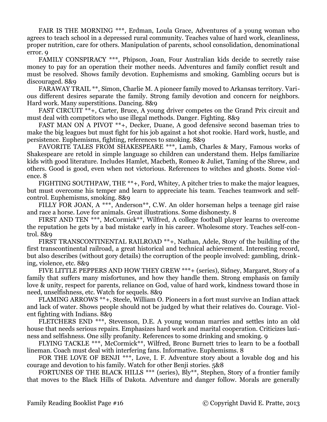FAIR IS THE MORNING \*\*\*, Erdman, Loula Grace, Adventures of a young woman who agrees to teach school in a depressed rural community. Teaches value of hard work, cleanliness, proper nutrition, care for others. Manipulation of parents, school consolidation, denominational error. 9

FAMILY CONSPIRACY \*\*\*, Phipson, Joan, Four Australian kids decide to secretly raise money to pay for an operation their mother needs. Adventures and family conflict result and must be resolved. Shows family devotion. Euphemisms and smoking. Gambling occurs but is discouraged. 8&9

FARAWAY TRAIL \*\*, Simon, Charlie M. A pioneer family moved to Arkansas territory. Various different desires separate the family. Strong family devotion and concern for neighbors. Hard work. Many superstitions. Dancing. 8&9

FAST CIRCUIT \*\*+, Carter, Bruce, A young driver competes on the Grand Prix circuit and must deal with competitors who use illegal methods. Danger. Fighting. 8&9

FAST MAN ON A PIVOT \*\*+, Decker, Duane, A good defensive second baseman tries to make the big leagues but must fight for his job against a hot shot rookie. Hard work, hustle, and persistence. Euphemisms, fighting, references to smoking. 8&9

FAVORITE TALES FROM SHAKESPEARE \*\*\*, Lamb, Charles & Mary, Famous works of Shakespeare are retold in simple language so children can understand them. Helps familiarize kids with good literature. Includes Hamlet, Macbeth, Romeo & Juliet, Taming of the Shrew, and others. Good is good, even when not victorious. References to witches and ghosts. Some violence. 8

FIGHTING SOUTHPAW, THE \*\*+, Ford, Whitey, A pitcher tries to make the major leagues, but must overcome his temper and learn to appreciate his team. Teaches teamwork and selfcontrol. Euphemisms, smoking. 8&9

FILLY FOR JOAN, A \*\*\*, Anderson\*\*, C.W. An older horseman helps a teenage girl raise and race a horse. Love for animals. Great illustrations. Some dishonesty. 8

FIRST AND TEN \*\*\*, McCormick\*\*, Wilfred, A college football player learns to overcome the reputation he gets by a bad mistake early in his career. Wholesome story. Teaches self-control. 8&9

FIRST TRANSCONTINENTAL RAILROAD \*\*+, Nathan, Adele, Story of the building of the first transcontinental railroad, a great historical and technical achievement. Interesting record, but also describes (without gory details) the corruption of the people involved: gambling, drinking, violence, etc. 8&9

FIVE LITTLE PEPPERS AND HOW THEY GREW \*\*\*+ (series), Sidney, Margaret, Story of a family that suffers many misfortunes, and how they handle them. Strong emphasis on family love & unity, respect for parents, reliance on God, value of hard work, kindness toward those in need, unselfishness, etc. Watch for sequels. 8&9

FLAMING ARROWS \*\*+, Steele, William O. Pioneers in a fort must survive an Indian attack and lack of water. Shows people should not be judged by what their relatives do. Courage. Violent fighting with Indians. 8&9

FLETCHERS END \*\*\*, Stevenson, D.E. A young woman marries and settles into an old house that needs serious repairs. Emphasizes hard work and marital cooperation. Criticizes laziness and selfishness. One silly profanity. References to some drinking and smoking. 9

FLYING TACKLE \*\*\*, McCormick\*\*, Wilfred, Bronc Burnett tries to learn to be a football lineman. Coach must deal with interfering fans. Informative. Euphemisms. 8

FOR THE LOVE OF BENJI \*\*\*, Love, I. F. Adventure story about a lovable dog and his courage and devotion to his family. Watch for other Benji stories. 5&8

FORTUNES OF THE BLACK HILLS \*\*\* (series), Bly\*\*, Stephen, Story of a frontier family that moves to the Black Hills of Dakota. Adventure and danger follow. Morals are generally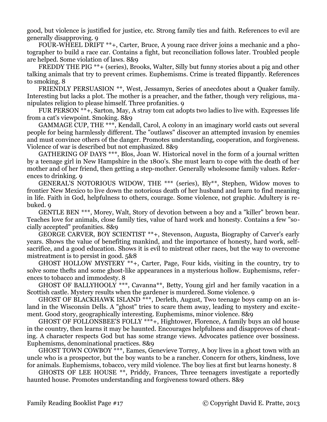good, but violence is justified for justice, etc. Strong family ties and faith. References to evil are generally disapproving. 9

FOUR-WHEEL DRIFT \*\*+, Carter, Bruce, A young race driver joins a mechanic and a photographer to build a race car. Contains a fight, but reconciliation follows later. Troubled people are helped. Some violation of laws. 8&9

FREDDY THE PIG \*\*+ (series), Brooks, Walter, Silly but funny stories about a pig and other talking animals that try to prevent crimes. Euphemisms. Crime is treated flippantly. References to smoking. 8

FRIENDLY PERSUASION \*\*, West, Jessamyn, Series of anecdotes about a Quaker family. Interesting but lacks a plot. The mother is a preacher, and the father, though very religious, manipulates religion to please himself. Three profanities. 9

FUR PERSON \*\*+, Sarton, May, A stray tom cat adopts two ladies to live with. Expresses life from a cat's viewpoint. Smoking. 8&9

GAMMAGE CUP, THE \*\*\*, Kendall, Carol, A colony in an imaginary world casts out several people for being harmlessly different. The "outlaws" discover an attempted invasion by enemies and must convince others of the danger. Promotes understanding, cooperation, and forgiveness. Violence of war is described but not emphasized. 8&9

GATHERING OF DAYS \*\*\*, Blos, Joan W. Historical novel in the form of a journal written by a teenage girl in New Hampshire in the 1800's. She must learn to cope with the death of her mother and of her friend, then getting a step-mother. Generally wholesome family values. References to drinking. 9

GENERAL'S NOTORIOUS WIDOW, THE \*\*\* (series), Bly\*\*, Stephen, Widow moves to frontier New Mexico to live down the notorious death of her husband and learn to find meaning in life. Faith in God, helpfulness to others, courage. Some violence, not graphic. Adultery is rebuked. 9

GENTLE BEN \*\*\*, Morey, Walt, Story of devotion between a boy and a "killer" brown bear. Teaches love for animals, close family ties, value of hard work and honesty. Contains a few "socially accepted" profanities. 8&9

GEORGE CARVER, BOY SCIENTIST \*\*+, Stevenson, Augusta, Biography of Carver's early years. Shows the value of benefiting mankind, and the importance of honesty, hard work, selfsacrifice, and a good education. Shows it is evil to mistreat other races, but the way to overcome mistreatment is to persist in good. 5&8

GHOST HOLLOW MYSTERY \*\*+, Carter, Page, Four kids, visiting in the country, try to solve some thefts and some ghost-like appearances in a mysterious hollow. Euphemisms, references to tobacco and immodesty. 8

GHOST OF BALLYHOOLY \*\*\*, Cavanna\*\*, Betty, Young girl and her family vacation in a Scottish castle. Mystery results when the gardener is murdered. Some violence. 9

GHOST OF BLACKHAWK ISLAND \*\*\*, Derleth, August, Two teenage boys camp on an island in the Wisconsin Dells. A "ghost" tries to scare them away, leading to mystery and excitement. Good story, geographically interesting. Euphemisms, minor violence. 8&9

GHOST OF FOLLONSBEE'S FOLLY \*\*\*+, Hightower, Florence, A family buys an old house in the country, then learns it may be haunted. Encourages helpfulness and disapproves of cheating. A character respects God but has some strange views. Advocates patience over bossiness. Euphemisms, denominational practices. 8&9

GHOST TOWN COWBOY \*\*\*, Eames, Genevieve Torrey, A boy lives in a ghost town with an uncle who is a prospector, but the boy wants to be a rancher. Concern for others, kindness, love for animals. Euphemisms, tobacco, very mild violence. The boy lies at first but learns honesty. 8

GHOSTS OF LEE HOUSE \*\*, Priddy, Frances, Three teenagers investigate a reportedly haunted house. Promotes understanding and forgiveness toward others. 8&9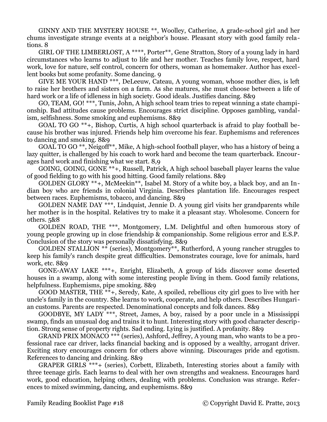GINNY AND THE MYSTERY HOUSE \*\*, Woolley, Catherine, A grade-school girl and her chums investigate strange events at a neighbor's house. Pleasant story with good family relations. 8

GIRL OF THE LIMBERLOST, A \*\*\*\*, Porter\*\*, Gene Stratton, Story of a young lady in hard circumstances who learns to adjust to life and her mother. Teaches family love, respect, hard work, love for nature, self control, concern for others, woman as homemaker. Author has excellent books but some profanity. Some dancing. 9

GIVE ME YOUR HAND \*\*\*, DeLeeuw, Cateau, A young woman, whose mother dies, is left to raise her brothers and sisters on a farm. As she matures, she must choose between a life of hard work or a life of idleness in high society. Good ideals. Justifies dancing. 8&9

GO, TEAM, GO! \*\*\*, Tunis, John, A high school team tries to repeat winning a state championship. Bad attitudes cause problems. Encourages strict discipline. Opposes gambling, vandalism, selfishness. Some smoking and euphemisms. 8&9

GOAL TO GO \*\*+, Bishop, Curtis, A high school quarterback is afraid to play football because his brother was injured. Friends help him overcome his fear. Euphemisms and references to dancing and smoking. 8&9

GOAL TO GO \*\*, Neigoff\*\*, Mike, A high-school football player, who has a history of being a lazy quitter, is challenged by his coach to work hard and become the team quarterback. Encourages hard work and finishing what we start. 8,9

GOING, GOING, GONE \*\*+, Russell, Patrick, A high school baseball player learns the value of good fielding to go with his good hitting. Good family relations. 8&9

GOLDEN GLORY  $**+$ , McMeekin<sup>\*\*</sup>, Isabel M. Story of a white boy, a black boy, and an Indian boy who are friends in colonial Virginia. Describes plantation life. Encourages respect between races. Euphemisms, tobacco, and dancing. 8&9

GOLDEN NAME DAY \*\*\*, Lindquist, Jennie D. A young girl visits her grandparents while her mother is in the hospital. Relatives try to make it a pleasant stay. Wholesome. Concern for others. 5&8

GOLDEN ROAD, THE \*\*\*, Montgomery, L.M. Delightful and often humorous story of young people growing up in close friendship & companionship. Some religious error and E.S.P. Conclusion of the story was personally dissatisfying. 8&9

GOLDEN STALLION \*\* (series), Montgomery\*\*, Rutherford, A young rancher struggles to keep his family's ranch despite great difficulties. Demonstrates courage, love for animals, hard work, etc. 8&9

GONE-AWAY LAKE \*\*\*+, Enright, Elizabeth, A group of kids discover some deserted houses in a swamp, along with some interesting people living in them. Good family relations, helpfulness. Euphemisms, pipe smoking. 8&9

GOOD MASTER, THE  $**$ +, Seredy, Kate, A spoiled, rebellious city girl goes to live with her uncle's family in the country. She learns to work, cooperate, and help others. Describes Hungarian customs. Parents are respected. Denominational concepts and folk dances. 8&9

GOODBYE, MY LADY \*\*\*, Street, James, A boy, raised by a poor uncle in a Mississippi swamp, finds an unusual dog and trains it to hunt. Interesting story with good character description. Strong sense of property rights. Sad ending. Lying is justified. A profanity. 8&9

GRAND PRIX MONACO \*\*\* (series), Ashford, Jeffrey, A young man, who wants to be a professional race car driver, lacks financial backing and is opposed by a wealthy, arrogant driver. Exciting story encourages concern for others above winning. Discourages pride and egotism. References to dancing and drinking. 8&9

GRAPER GIRLS \*\*\*+ (series), Corbett, Elizabeth, Interesting stories about a family with three teenage girls. Each learns to deal with her own strengths and weakness. Encourages hard work, good education, helping others, dealing with problems. Conclusion was strange. References to mixed swimming, dancing, and euphemisms. 8&9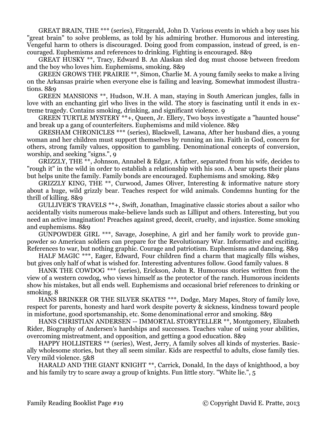GREAT BRAIN, THE \*\*\* (series), Fitzgerald, John D. Various events in which a boy uses his "great brain" to solve problems, as told by his admiring brother. Humorous and interesting. Vengeful harm to others is discouraged. Doing good from compassion, instead of greed, is encouraged. Euphemisms and references to drinking. Fighting is encouraged. 8&9

GREAT HUSKY \*\*, Tracy, Edward B. An Alaskan sled dog must choose between freedom and the boy who loves him. Euphemisms, smoking. 8&9

GREEN GROWS THE PRAIRIE \*\*, Simon, Charlie M. A young family seeks to make a living on the Arkansas prairie when everyone else is failing and leaving. Somewhat immodest illustrations. 8&9

GREEN MANSIONS \*\*, Hudson, W.H. A man, staying in South American jungles, falls in love with an enchanting girl who lives in the wild. The story is fascinating until it ends in extreme tragedy. Contains smoking, drinking, and significant violence. 9

GREEN TURTLE MYSTERY \*\*+, Queen, Jr. Ellery, Two boys investigate a "haunted house" and break up a gang of counterfeiters. Euphemisms and mild violence. 8&9

GRESHAM CHRONICLES \*\*\* (series), Blackwell, Lawana, After her husband dies, a young woman and her children must support themselves by running an inn. Faith in God, concern for others, strong family values, opposition to gambling. Denominational concepts of conversion, worship, and seeking "signs.", 9

GRIZZLY, THE \*\*, Johnson, Annabel & Edgar, A father, separated from his wife, decides to "rough it" in the wild in order to establish a relationship with his son. A bear upsets their plans but helps unite the family. Family bonds are encouraged. Euphemisms and smoking. 8&9

GRIZZLY KING, THE \*\*, Curwood, James Oliver, Interesting & informative nature story about a huge, wild grizzly bear. Teaches respect for wild animals. Condemns hunting for the thrill of killing. 8&9

GULLIVER'S TRAVELS \*\*+, Swift, Jonathan, Imaginative classic stories about a sailor who accidentally visits numerous make-believe lands such as Lilliput and others. Interesting, but you need an active imagination! Preaches against greed, deceit, cruelty, and injustice. Some smoking and euphemisms. 8&9

GUNPOWDER GIRL \*\*\*, Savage, Josephine, A girl and her family work to provide gunpowder so American soldiers can prepare for the Revolutionary War. Informative and exciting. References to war, but nothing graphic. Courage and patriotism. Euphemisms and dancing. 8&9

HALF MAGIC \*\*\*, Eager, Edward, Four children find a charm that magically fills wishes, but gives only half of what is wished for. Interesting adventures follow. Good family values. 8

HANK THE COWDOG \*\*\* (series), Erickson, John R. Humorous stories written from the view of a western cowdog, who views himself as the protector of the ranch. Humorous incidents show his mistakes, but all ends well. Euphemisms and occasional brief references to drinking or smoking. 8

HANS BRINKER OR THE SILVER SKATES \*\*\*, Dodge, Mary Mapes, Story of family love, respect for parents, honesty and hard work despite poverty & sickness, kindness toward people in misfortune, good sportsmanship, etc. Some denominational error and smoking. 8&9

HANS CHRISTIAN ANDERSEN -- IMMORTAL STORYTELLER \*\*, Montgomery, Elizabeth Rider, Biography of Andersen's hardships and successes. Teaches value of using your abilities, overcoming mistreatment, and opposition, and getting a good education. 8&9

HAPPY HOLLISTERS \*\* (series), West, Jerry, A family solves all kinds of mysteries. Basically wholesome stories, but they all seem similar. Kids are respectful to adults, close family ties. Very mild violence. 5&8

HARALD AND THE GIANT KNIGHT \*\*, Carrick, Donald, In the days of knighthood, a boy and his family try to scare away a group of knights. Fun little story. "White lie.", 5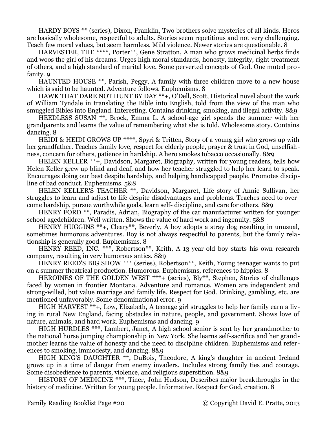HARDY BOYS \*\* (series), Dixon, Franklin, Two brothers solve mysteries of all kinds. Heros are basically wholesome, respectful to adults. Stories seem repetitious and not very challenging. Teach few moral values, but seem harmless. Mild violence. Newer stories are questionable. 8

HARVESTER, THE \*\*\*\*, Porter\*\*, Gene Stratton, A man who grows medicinal herbs finds and woos the girl of his dreams. Urges high moral standards, honesty, integrity, right treatment of others, and a high standard of marital love. Some perverted concepts of God. One muted profanity. 9

HAUNTED HOUSE \*\*, Parish, Peggy, A family with three children move to a new house which is said to be haunted. Adventure follows. Euphemisms. 8

HAWK THAT DARE NOT HUNT BY DAY \*\*+, O'Dell, Scott, Historical novel about the work of William Tyndale in translating the Bible into English, told from the view of the man who smuggled Bibles into England. Interesting. Contains drinking, smoking, and illegal activity. 8&9

HEEDLESS SUSAN \*\*, Brock, Emma L. A school-age girl spends the summer with her grandparents and learns the value of remembering what she is told. Wholesome story. Contains dancing. 8

HEIDI & HEIDI GROWS UP \*\*\*\*, Spyri & Tritten, Story of a young girl who grows up with her grandfather. Teaches family love, respect for elderly people, prayer & trust in God, unselfishness, concern for others, patience in hardship. A hero smokes tobacco occasionally. 8&9

HELEN KELLER \*\*+, Davidson, Margaret, Biography, written for young readers, tells how Helen Keller grew up blind and deaf, and how her teacher struggled to help her learn to speak. Encourages doing our best despite hardship, and helping handicapped people. Promotes discipline of bad conduct. Euphemisms. 5&8

HELEN KELLER'S TEACHER \*\*, Davidson, Margaret, Life story of Annie Sullivan, her struggles to learn and adjust to life despite disadvantages and problems. Teaches need to overcome hardship, pursue worthwhile goals, learn self- discipline, and care for others. 8&9

HENRY FORD \*\*, Paradis, Adrian, Biography of the car manufacturer written for younger school-agedchildren. Well written. Shows the value of hard work and ingenuity. 5&8

HENRY HUGGINS \*\*+, Cleary\*\*, Beverly, A boy adopts a stray dog resulting in unusual, sometimes humorous adventures. Boy is not always respectful to parents, but the family relationship is generally good. Euphemisms. 8

HENRY REED, INC. \*\*\*, Robertson\*\*, Keith, A 13-year-old boy starts his own research company, resulting in very humorous antics. 8&9

HENRY REED'S BIG SHOW \*\*\* (series), Robertson<sup>\*\*</sup>, Keith, Young teenager wants to put on a summer theatrical production. Humorous. Euphemisms, references to hippies. 8

HEROINES OF THE GOLDEN WEST \*\*\*+ (series), Bly\*\*, Stephen, Stories of challenges faced by women in frontier Montana. Adventure and romance. Women are independent and strong-willed, but value marriage and family life. Respect for God. Drinking, gambling, etc. are mentioned unfavorably. Some denominational error. 9

HIGH HARVEST \*\*+, Low, Elizabeth, A teenage girl struggles to help her family earn a living in rural New England, facing obstacles in nature, people, and government. Shows love of nature, animals, and hard work. Euphemisms and dancing. 9

HIGH HURDLES \*\*\*, Lambert, Janet, A high school senior is sent by her grandmother to the national horse jumping championship in New York. She learns self-sacrifice and her grandmother learns the value of honesty and the need to discipline children. Euphemisms and references to smoking, immodesty, and dancing. 8&9

HIGH KING'S DAUGHTER \*\*, DuBois, Theodore, A king's daughter in ancient Ireland grows up in a time of danger from enemy invaders. Includes strong family ties and courage. Some disobedience to parents, violence, and religious superstition. 8&9

HISTORY OF MEDICINE \*\*\*, Tiner, John Hudson, Describes major breakthroughs in the history of medicine. Written for young people. Informative. Respect for God, creation. 8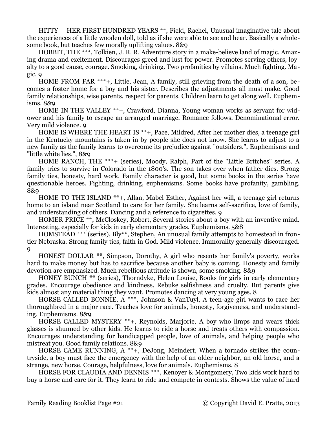HITTY -- HER FIRST HUNDRED YEARS \*\*, Field, Rachel, Unusual imaginative tale about the experiences of a little wooden doll, told as if she were able to see and hear. Basically a wholesome book, but teaches few morally uplifting values. 8&9

HOBBIT, THE \*\*\*, Tolkien, J. R. R. Adventure story in a make-believe land of magic. Amazing drama and excitement. Discourages greed and lust for power. Promotes serving others, loyalty to a good cause, courage. Smoking, drinking. Two profanities by villains. Much fighting. Magic. 9

HOME FROM FAR \*\*\*+, Little, Jean, A family, still grieving from the death of a son, becomes a foster home for a boy and his sister. Describes the adjustments all must make. Good family relationships, wise parents, respect for parents. Children learn to get along well. Euphemisms. 8&9

HOME IN THE VALLEY \*\*+, Crawford, Dianna, Young woman works as servant for widower and his family to escape an arranged marriage. Romance follows. Denominational error. Very mild violence. 9

HOME IS WHERE THE HEART IS \*\*+, Pace, Mildred, After her mother dies, a teenage girl in the Kentucky mountains is taken in by people she does not know. She learns to adjust to a new family as the family learns to overcome its prejudice against "outsiders.", Euphemisms and "little white lies.", 8&9

HOME RANCH, THE \*\*\*+ (series), Moody, Ralph, Part of the "Little Britches" series. A family tries to survive in Colorado in the 1800's. The son takes over when father dies. Strong family ties, honesty, hard work. Family character is good, but some books in the series have questionable heroes. Fighting, drinking, euphemisms. Some books have profanity, gambling. 8&9

HOME TO THE ISLAND \*\*+, Allan, Mabel Esther, Against her will, a teenage girl returns home to an island near Scotland to care for her family. She learns self-sacrifice, love of family, and understanding of others. Dancing and a reference to cigarettes. 9

HOMER PRICE \*\*, McCloskey, Robert, Several stories about a boy with an inventive mind. Interesting, especially for kids in early elementary grades. Euphemisms. 5&8

HOMSTEAD \*\*\* (series), Bly\*\*, Stephen, An unusual family attempts to homestead in frontier Nebraska. Strong family ties, faith in God. Mild violence. Immorality generally discouraged. 9

HONEST DOLLAR \*\*, Simpson, Dorothy, A girl who resents her family's poverty, works hard to make money but has to sacrifice because another baby is coming. Honesty and family devotion are emphasized. Much rebellious attitude is shown, some smoking. 8&9

HONEY BUNCH \*\* (series), Thorndyke, Helen Louise, Books for girls in early elementary grades. Encourage obedience and kindness. Rebuke selfishness and cruelty. But parents give kids almost any material thing they want. Promotes dancing at very young ages. 8

HORSE CALLED BONNIE, A \*\*\*, Johnson & VanTuyl, A teen-age girl wants to race her thoroughbred in a major race. Teaches love for animals, honesty, forgiveness, and understanding. Euphemisms. 8&9

HORSE CALLED MYSTERY \*\*+, Reynolds, Marjorie, A boy who limps and wears thick glasses is shunned by other kids. He learns to ride a horse and treats others with compassion. Encourages understanding for handicapped people, love of animals, and helping people who mistreat you. Good family relations. 8&9

HORSE CAME RUNNING, A \*\*+, DeJong, Meindert, When a tornado strikes the countryside, a boy must face the emergency with the help of an older neighbor, an old horse, and a strange, new horse. Courage, helpfulness, love for animals. Euphemisms. 8

HORSE FOR CLAUDIA AND DENNIS \*\*\*, Kenoyer & Montgomery, Two kids work hard to buy a horse and care for it. They learn to ride and compete in contests. Shows the value of hard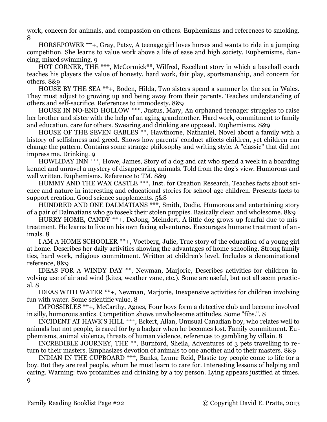work, concern for animals, and compassion on others. Euphemisms and references to smoking. 8

HORSEPOWER \*\*+, Gray, Patsy, A teenage girl loves horses and wants to ride in a jumping competition. She learns to value work above a life of ease and high society. Euphemisms, dancing, mixed swimming. 9

HOT CORNER, THE \*\*\*, McCormick\*\*, Wilfred, Excellent story in which a baseball coach teaches his players the value of honesty, hard work, fair play, sportsmanship, and concern for others. 8&9

HOUSE BY THE SEA \*\*+, Boden, Hilda, Two sisters spend a summer by the sea in Wales. They must adjust to growing up and being away from their parents. Teaches understanding of others and self-sacrifice. References to immodesty. 8&9

HOUSE IN NO-END HOLLOW \*\*\*, Justus, Mary, An orphaned teenager struggles to raise her brother and sister with the help of an aging grandmother. Hard work, commitment to family and education, care for others. Swearing and drinking are opposed. Euphemisms. 8&9

HOUSE OF THE SEVEN GABLES \*\*, Hawthorne, Nathaniel, Novel about a family with a history of selfishness and greed. Shows how parents' conduct affects children, yet children can change the pattern. Contains some strange philosophy and writing style. A "classic" that did not impress me. Drinking. 9

HOWLIDAY INN \*\*\*, Howe, James, Story of a dog and cat who spend a week in a boarding kennel and unravel a mystery of disappearing animals. Told from the dog's view. Humorous and well written. Euphemisms. Reference to TM. 8&9

HUMMY AND THE WAX CASTLE \*\*\*, Inst. for Creation Research, Teaches facts about science and nature in interesting and educational stories for school-age children. Presents facts to support creation. Good science supplements. 5&8

HUNDRED AND ONE DALMATIANS \*\*\*, Smith, Dodie, Humorous and entertaining story of a pair of Dalmatians who go toseek their stolen puppies. Basically clean and wholesome. 8&9

HURRY HOME, CANDY  $^{**}$ +, DeJong, Meindert, A little dog grows up fearful due to mistreatment. He learns to live on his own facing adventures. Encourages humane treatment of animals. 8

I AM A HOME SCHOOLER \*\*+, Voetberg, Julie, True story of the education of a young girl at home. Describes her daily activities showing the advantages of home schooling. Strong family ties, hard work, religious commitment. Written at children's level. Includes a denominational reference, 8&9

IDEAS FOR A WINDY DAY \*\*, Newman, Marjorie, Describes activities for children involving use of air and wind (kites, weather vane, etc.). Some are useful, but not all seem practical. 8

IDEAS WITH WATER \*\*+, Newman, Marjorie, Inexpensive activities for children involving fun with water. Some scientific value. 8

IMPOSSIBLES \*\*+, McCarthy, Agnes, Four boys form a detective club and become involved in silly, humorous antics. Competition shows unwholesome attitudes. Some "fibs.", 8

INCIDENT AT HAWK'S HILL \*\*\*, Eckert, Allan, Unusual Canadian boy, who relates well to animals but not people, is cared for by a badger when he becomes lost. Family commitment. Euphemisms, animal violence, threats of human violence, references to gambling by villain. 8

INCREDIBLE JOURNEY, THE \*\*, Burnford, Sheila, Adventures of 3 pets travelling to return to their masters. Emphasizes devotion of animals to one another and to their masters. 8&9

INDIAN IN THE CUPBOARD \*\*\*, Banks, Lynne Reid, Plastic toy people come to life for a boy. But they are real people, whom he must learn to care for. Interesting lessons of helping and caring. Warning: two profanities and drinking by a toy person. Lying appears justified at times. 9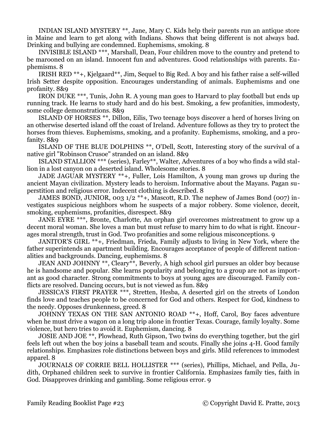INDIAN ISLAND MYSTERY \*\*, Jane, Mary C. Kids help their parents run an antique store in Maine and learn to get along with Indians. Shows that being different is not always bad. Drinking and bullying are condemned. Euphemisms, smoking. 8

INVISIBLE ISLAND \*\*\*, Marshall, Dean, Four children move to the country and pretend to be marooned on an island. Innocent fun and adventures. Good relationships with parents. Euphemisms. 8

IRISH RED \*\*+, Kjelgaard\*\*, Jim, Sequel to Big Red. A boy and his father raise a self-willed Irish Setter despite opposition. Encourages understanding of animals. Euphemisms and one profanity. 8&9

IRON DUKE \*\*\*, Tunis, John R. A young man goes to Harvard to play football but ends up running track. He learns to study hard and do his best. Smoking, a few profanities, immodesty, some college demonstrations. 8&9

ISLAND OF HORSES \*\*, Dillon, Eilis, Two teenage boys discover a herd of horses living on an otherwise deserted island off the coast of Ireland. Adventure follows as they try to protect the horses from thieves. Euphemisms, smoking, and a profanity. Euphemisms, smoking, and a profanity. 8&9

ISLAND OF THE BLUE DOLPHINS \*\*, O'Dell, Scott, Interesting story of the survival of a native girl "Robinson Crusoe" stranded on an island. 8&9

ISLAND STALLION \*\*\* (series), Farley\*\*, Walter, Adventures of a boy who finds a wild stallion in a lost canyon on a deserted island. Wholesome stories. 8

JADE JAGUAR MYSTERY \*\*+, Fuller, Lois Hamilton, A young man grows up during the ancient Mayan civilization. Mystery leads to heroism. Informative about the Mayans. Pagan superstition and religious error. Indecent clothing is described. 8

JAMES BOND, JUNIOR, 003 1/2 \*\*+, Mascott, R.D. The nephew of James Bond (007) investigates suspicious neighbors whom he suspects of a major robbery. Some violence, deceit, smoking, euphemisms, profanities, disrespect. 8&9

JANE EYRE \*\*\*, Bronte, Charlotte, An orphan girl overcomes mistreatment to grow up a decent moral woman. She loves a man but must refuse to marry him to do what is right. Encour ages moral strength, trust in God. Two profanities and some religious misconceptions. 9

JANITOR'S GIRL \*\*+, Friedman, Frieda, Family adjusts to living in New York, where the father superintends an apartment building. Encourages acceptance of people of different nationalities and backgrounds. Dancing, euphemisms. 8

JEAN AND JOHNNY \*\*, Cleary\*\*, Beverly, A high school girl pursues an older boy because he is handsome and popular. She learns popularity and belonging to a group are not as important as good character. Strong commitments to boys at young ages are discouraged. Family conflicts are resolved. Dancing occurs, but is not viewed as fun. 8&9

JESSICA'S FIRST PRAYER \*\*\*, Stretten, Hesba, A deserted girl on the streets of London finds love and teaches people to be concerned for God and others. Respect for God, kindness to the needy. Opposes drunkenness, greed. 8

JOHNNY TEXAS ON THE SAN ANTONIO ROAD \*\*+, Hoff, Carol, Boy faces adventure when he must drive a wagon on a long trip alone in frontier Texas. Courage, family loyalty. Some violence, but hero tries to avoid it. Euphemism, dancing. 8

JOSIE AND JOE \*\*, Plowhead, Ruth Gipson, Two twins do everything together, but the girl feels left out when the boy joins a baseball team and scouts. Finally she joins 4-H. Good family relationships. Emphasizes role distinctions between boys and girls. Mild references to immodest apparel. 8

JOURNALS OF CORRIE BELL HOLLISTER \*\*\* (series), Phillips, Michael, and Pella, Judith, Orphaned children seek to survive in frontier California. Emphasizes family ties, faith in God. Disapproves drinking and gambling. Some religious error. 9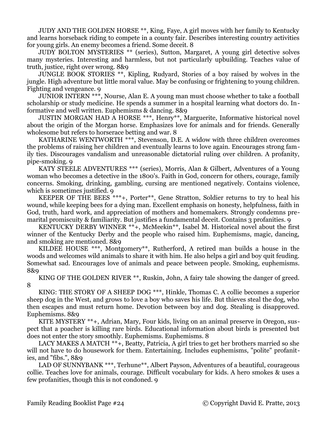JUDY AND THE GOLDEN HORSE \*\*, King, Faye, A girl moves with her family to Kentucky and learns horseback riding to compete in a county fair. Describes interesting country activities for young girls. An enemy becomes a friend. Some deceit. 8

JUDY BOLTON MYSTERIES \*\* (series), Sutton, Margaret, A young girl detective solves many mysteries. Interesting and harmless, but not particularly upbuilding. Teaches value of truth, justice, right over wrong. 8&9

JUNGLE BOOK STORIES \*\*, Kipling, Rudyard, Stories of a boy raised by wolves in the jungle. High adventure but little moral value. May be confusing or frightening to young children. Fighting and vengeance. 9

JUNIOR INTERN \*\*\*, Nourse, Alan E. A young man must choose whether to take a football scholarship or study medicine. He spends a summer in a hospital learning what doctors do. Informative and well written. Euphemisms & dancing. 8&9

JUSTIN MORGAN HAD A HORSE \*\*\*, Henry\*\*, Marguerite, Informative historical novel about the origin of the Morgan horse. Emphasizes love for animals and for friends. Generally wholesome but refers to horserace betting and war. 8

KATHARINE WENTWORTH \*\*\*, Stevenson, D.E. A widow with three children overcomes the problems of raising her children and eventually learns to love again. Encourages strong family ties. Discourages vandalism and unreasonable dictatorial ruling over children. A profanity, pipe-smoking. 9

KATY STEELE ADVENTURES \*\*\* (series), Morris, Alan & Gilbert, Adventures of a Young woman who becomes a detective in the 1800's. Faith in God, concern for others, courage, family concerns. Smoking, drinking, gambling, cursing are mentioned negatively. Contains violence, which is sometimes justified. 9

KEEPER OF THE BEES \*\*\*+, Porter\*\*, Gene Stratton, Soldier returns to try to heal his wound, while keeping bees for a dying man. Excellent emphasis on honesty, helpfulness, faith in God, truth, hard work, and appreciation of mothers and homemakers. Strongly condemns premarital promiscuity & familiarity. But justifies a fundamental deceit. Contains 3 profanities. 9

KENTUCKY DERBY WINNER \*\*+, McMeekin\*\*, Isabel M. Historical novel about the first winner of the Kentucky Derby and the people who raised him. Euphemisms, magic, dancing, and smoking are mentioned. 8&9

KILDEE HOUSE \*\*\*, Montgomery\*\*, Rutherford, A retired man builds a house in the woods and welcomes wild animals to share it with him. He also helps a girl and boy quit feuding. Somewhat sad. Encourages love of animals and peace between people. Smoking, euphemisms. 8&9

KING OF THE GOLDEN RIVER \*\*, Ruskin, John, A fairy tale showing the danger of greed. 8

KING: THE STORY OF A SHEEP DOG \*\*\*, Hinkle, Thomas C. A collie becomes a superior sheep dog in the West, and grows to love a boy who saves his life. But thieves steal the dog, who then escapes and must return home. Devotion between boy and dog. Stealing is disapproved. Euphemisms. 8&9

KITE MYSTERY \*\*+, Adrian, Mary, Four kids, living on an animal preserve in Oregon, suspect that a poacher is killing rare birds. Educational information about birds is presented but does not enter the story smoothly. Euphemisms. Euphemisms. 8

LACY MAKES A MATCH \*\*+, Beatty, Patricia, A girl tries to get her brothers married so she will not have to do housework for them. Entertaining. Includes euphemisms, "polite" profanities, and "fibs.", 8&9

LAD OF SUNNYBANK \*\*\*, Terhune<sup>\*\*</sup>, Albert Payson, Adventures of a beautiful, courageous collie. Teaches love for animals, courage. Difficult vocabulary for kids. A hero smokes & uses a few profanities, though this is not condoned. 9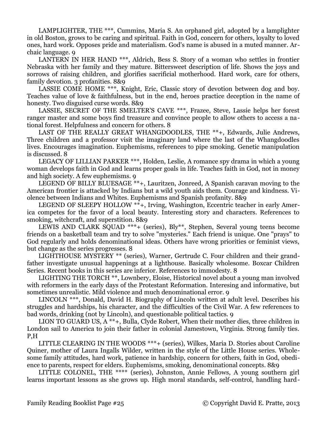LAMPLIGHTER, THE \*\*\*, Cummins, Maria S. An orphaned girl, adopted by a lamplighter in old Boston, grows to be caring and spiritual. Faith in God, concern for others, loyalty to loved ones, hard work. Opposes pride and materialism. God's name is abused in a muted manner. Archaic language. 9

LANTERN IN HER HAND \*\*\*, Aldrich, Bess S. Story of a woman who settles in frontier Nebraska with her family and they mature. Bittersweet description of life. Shows the joys and sorrows of raising children, and glorifies sacrificial motherhood. Hard work, care for others, family devotion. 3 profanities. 8&9

LASSIE COME HOME \*\*\*, Knight, Eric, Classic story of devotion between dog and boy. Teaches value of love & faithfulness, but in the end, heroes practice deception in the name of honesty. Two disguised curse words. 8&9

LASSIE, SECRET OF THE SMELTER'S CAVE \*\*\*, Frazee, Steve, Lassie helps her forest ranger master and some boys find treasure and convince people to allow others to access a national forest. Helpfulness and concern for others. 8

LAST OF THE REALLY GREAT WHANGDOODLES, THE \*\*+, Edwards, Julie Andrews, Three children and a professor visit the imaginary land where the last of the Whangdoodles lives. Encourages imagination. Euphemisms, references to pipe smoking. Genetic manipulation is discussed. 8

LEGACY OF LILLIAN PARKER \*\*\*, Holden, Leslie, A romance spy drama in which a young woman develops faith in God and learns proper goals in life. Teaches faith in God, not in money and high society. A few euphemisms. 9

LEGEND OF BILLY BLUESAGE \*\*+, Lauritzen, Jonreed, A Spanish caravan moving to the American frontier is attacked by Indians but a wild youth aids them. Courage and kindness. Violence between Indians and Whites. Euphemisms and Spanish profanity. 8&9

LEGEND OF SLEEPY HOLLOW \*\*+, Irving, Washington, Eccentric teacher in early America competes for the favor of a local beauty. Interesting story and characters. References to smoking, witchcraft, and superstition. 8&9

LEWIS AND CLARK SQUAD \*\*\*+ (series), Bly\*\*, Stephen, Several young teens become friends on a basketball team and try to solve "mysteries." Each friend is unique. One "prays" to God regularly and holds denominational ideas. Others have wrong priorities or feminist views, but change as the series progresses. 8

LIGHTHOUSE MYSTERY \*\* (series), Warner, Gertrude C. Four children and their grandfather investigate unusual happenings at a lighthouse. Basically wholesome. Boxcar Children Series. Recent books in this series are inferior. References to immodesty. 8

LIGHTING THE TORCH \*\*, Lownbery, Eloise, Historical novel about a young man involved with reformers in the early days of the Protestant Reformation. Interesing and informative, but sometimes unrealistic. Mild violence and much denominational error. 9

LINCOLN \*\*\*, Donald, David H. Biography of Lincoln written at adult level. Describes his struggles and hardships, his character, and the difficulties of the Civil War. A few references to bad words, drinking (not by Lincoln), and questionable political tactics. 9

LION TO GUARD US, A \*\*+, Bulla, Clyde Robert, When their mother dies, three children in London sail to America to join their father in colonial Jamestown, Virginia. Strong family ties. P,H

LITTLE CLEARING IN THE WOODS \*\*\*+ (series), Wilkes, Maria D. Stories about Caroline Quiner, mother of Laura Ingalls Wilder, written in the style of the Little House series. Wholesome family attitudes, hard work, patience in hardship, concern for others, faith in God, obedience to parents, respect for elders. Euphemisms, smoking, denominational concepts. 8&9

LITTLE COLONEL, THE \*\*\*\* (series), Johnston, Annie Fellows, A young southern girl learns important lessons as she grows up. High moral standards, self-control, handling hard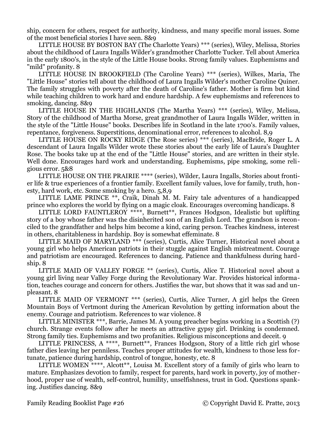ship, concern for others, respect for authority, kindness, and many specific moral issues. Some of the most beneficial stories I have seen. 8&9

LITTLE HOUSE BY BOSTON BAY (The Charlotte Years) \*\*\* (series), Wiley, Melissa, Stories about the childhood of Laura Ingalls Wilder's grandmother Charlotte Tucker. Tell about America in the early 1800's, in the style of the Little House books. Strong family values. Euphemisms and "mild" profanity. 8

LITTLE HOUSE IN BROOKFIELD (The Caroline Years) \*\*\* (series), Wilkes, Maria, The "Little House" stories tell about the childhood of Laura Ingalls Wilder's mother Caroline Quiner. The family struggles with poverty after the death of Caroline's father. Mother is firm but kind while teaching children to work hard and endure hardship. A few euphemisms and references to smoking, dancing. 8&9

LITTLE HOUSE IN THE HIGHLANDS (The Martha Years) \*\*\* (series), Wiley, Melissa, Story of the childhood of Martha Morse, great grandmother of Laura Ingalls Wilder, written in the style of the "Little House" books. Describes life in Scotland in the late 1700's. Family values, repentance, forgiveness. Superstitions, denominational error, references to alcohol. 8,9

LITTLE HOUSE ON ROCKY RIDGE (The Rose series) \*\*\* (series), MacBride, Roger L. A descendant of Laura Ingalls Wilder wrote these stories about the early life of Laura's Daughter Rose. The books take up at the end of the "Little House" stories, and are written in their style. Well done. Encourages hard work and understanding. Euphemisms, pipe smoking, some religious error. 5&8

LITTLE HOUSE ON THE PRAIRIE \*\*\*\* (series), Wilder, Laura Ingalls, Stories about frontier life & true experiences of a frontier family. Excellent family values, love for family, truth, honesty, hard work, etc. Some smoking by a hero. 5,8,9

LITTLE LAME PRINCE \*\*, Craik, Dinah M. M. Fairy tale adventures of a handicapped prince who explores the world by flying on a magic cloak. Encourages overcoming handicaps. 8

LITTLE LORD FAUNTLEROY \*\*\*\*, Burnett\*\*, Frances Hodgson, Idealistic but uplifting story of a boy whose father was the disinherited son of an English Lord. The grandson is reconciled to the grandfather and helps him become a kind, caring person. Teaches kindness, interest in others, charitableness in hardship. Boy is somewhat effeminate. 8

LITTLE MAID OF MARYLAND \*\*\* (series), Curtis, Alice Turner, Historical novel about a young girl who helps American patriots in their stuggle against English mistreatment. Courage and patriotism are encouraged. References to dancing. Patience and thankfulness during hardship. 8

LITTLE MAID OF VALLEY FORGE \*\* (series), Curtis, Alice T. Historical novel about a young girl living near Valley Forge during the Revolutionary War. Provides historical information, teaches courage and concern for others. Justifies the war, but shows that it was sad and unpleasant. 8

LITTLE MAID OF VERMONT \*\*\* (series), Curtis, Alice Turner, A girl helps the Green Mountain Boys of Vertmont during the American Revolution by getting information about the enemy. Courage and patriotism. References to war violence. 8

LITTLE MINISTER \*\*\*, Barrie, James M. A young preacher begins working in a Scottish (?) church. Strange events follow after he meets an attractive gypsy girl. Drinking is condemned. Strong family ties. Euphemisms and two profanities. Religious misconceptions and deceit. 9

LITTLE PRINCESS, A \*\*\*\*, Burnett<sup>\*\*</sup>, Frances Hodgson, Story of a little rich girl whose father dies leaving her penniless. Teaches proper attitudes for wealth, kindness to those less fortunate, patience during hardship, control of tongue, honesty, etc. 8

LITTLE WOMEN \*\*\*\*, Alcott<sup>\*\*</sup>, Louisa M. Excellent story of a family of girls who learn to mature. Emphasizes devotion to family, respect for parents, hard work in poverty, joy of motherhood, proper use of wealth, self-control, humility, unselfishness, trust in God. Questions spanking. Justifies dancing. 8&9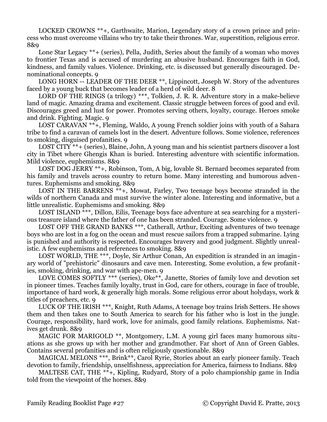LOCKED CROWNS \*\*+, Garthwaite, Marion, Legendary story of a crown prince and princess who must overcome villains who try to take their thrones. War, superstition, religious error. 8&9

Lone Star Legacy \*\*+ (series), Pella, Judith, Series about the family of a woman who moves to frontier Texas and is accused of murdering an abusive husband. Encourages faith in God, kindness, and family values. Violence. Drinking, etc. is discussed but generally discouraged. Denominational concepts. 9

LONG HORN -- LEADER OF THE DEER \*\*, Lippincott, Joseph W. Story of the adventures faced by a young buck that becomes leader of a herd of wild deer. 8

LORD OF THE RINGS (a trilogy) \*\*\*, Tolkien, J. R. R. Adventure story in a make-believe land of magic. Amazing drama and excitement. Classic struggle between forces of good and evil. Discourages greed and lust for power. Promotes serving others, loyalty, courage. Heroes smoke and drink. Fighting. Magic. 9

LOST CARAVAN \*\*+, Fleming, Waldo, A young French soldier joins with youth of a Sahara tribe to find a caravan of camels lost in the desert. Adventure follows. Some violence, references to smoking, disguised profanities. 9

LOST CITY \*\*+ (series), Blaine, John, A young man and his scientist partners discover a lost city in Tibet where Ghengis Khan is buried. Interesting adventure with scientific information. Mild violence, euphemisms. 8&9

LOST DOG JERRY \*\*+, Robinson, Tom, A big, lovable St. Bernard becomes separated from his family and travels across country to return home. Many interesting and humorous adventures. Euphemisms and smoking. 8&9

LOST IN THE BARRENS  $\overline{**}$ +, Mowat, Farley, Two teenage boys become stranded in the wilds of northern Canada and must survive the winter alone. Interesting and informative, but a little unrealistic. Euphemisms and smoking. 8&9

LOST ISLAND  $*\ast\ast$ , Dillon, Eilis, Teenage boys face adventure at sea searching for a mysterious treasure island where the father of one has been stranded. Courage. Some violence. 9

LOST OFF THE GRAND BANKS \*\*\*, Catherall, Arthur, Exciting adventures of two teenage boys who are lost in a fog on the ocean and must rescue sailors from a trapped submarine. Lying is punished and authority is respected. Encourages bravery and good judgment. Slightly unrealistic. A few euphemisms and references to smoking. 8&9

LOST WORLD, THE \*\*\*, Doyle, Sir Arthur Conan, An expedition is stranded in an imaginary world of "prehistoric" dinosaurs and cave men. Interesting. Some evolution, a few profanities, smoking, drinking, and war with ape-men. 9

LOVE COMES SOFTLY \*\*\* (series), Oke\*\*, Janette, Stories of family love and devotion set in pioneer times. Teaches family loyalty, trust in God, care for others, courage in face of trouble, importance of hard work, & generally high morals. Some religious error about holydays, work & titles of preachers, etc. 9

LUCK OF THE IRISH \*\*\*, Knight, Ruth Adams, A teenage boy trains Irish Setters. He shows them and then takes one to South America to search for his father who is lost in the jungle. Courage, responsibility, hard work, love for animals, good family relations. Euphemisms. Natives get drunk. 8&9

MAGIC FOR MARIGOLD \*\*, Montgomery, L.M. A young girl faces many humorous situations as she grows up with her mother and grandmother. Far short of Ann of Green Gables. Contains several profanities and is often religiously questionable. 8&9

MAGICAL MELONS \*\*\*, Brink\*\*, Carol Ryrie, Stories about an early pioneer family. Teach devotion to family, friendship, unselfishness, appreciation for America, fairness to Indians. 8&9

MALTESE CAT, THE  $**$ +, Kipling, Rudyard, Story of a polo championship game in India told from the viewpoint of the horses. 8&9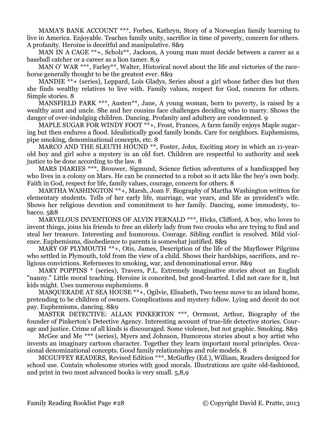MAMA'S BANK ACCOUNT \*\*\*, Forbes, Kathryn, Story of a Norwegian family learning to live in America. Enjoyable. Teaches family unity, sacrifice in time of poverty, concern for others. A profanity. Heroine is deceitful and manipulative. 8&9

MAN IN A CAGE \*\*+, Scholz\*\*, Jackson, A young man must decide between a career as a baseball catcher or a career as a lion tamer. 8,9

MAN O' WAR \*\*\*, Farley\*\*, Walter, Historical novel about the life and victories of the racehorse generally thought to be the greatest ever. 8&9

MANDIE \*\*+ (series), Leppard, Lois Gladys, Series about a girl whose father dies but then she finds wealthy relatives to live with. Family values, respect for God, concern for others. Simple stories. 8

MANSFIELD PARK \*\*\*, Austen\*\*, Jane, A young woman, born to poverty, is raised by a wealthy aunt and uncle. She and her cousins face challenges deciding who to marry. Shows the danger of over-indulging children. Dancing. Profanity and adultery are condemned. 9

MAPLE SUGAR FOR WINDY FOOT \*\*+, Frost, Frances, A farm family enjoys Maple sugaring but then endures a flood. Idealistically good family bonds. Care for neighbors. Euphemisms, pipe smoking, denominational concepts, etc. 8

MARCO AND THE SLEUTH HOUND<sup>\*\*</sup>, Foster, John, Exciting story in which an 11-yearold boy and girl solve a mystery in an old fort. Children are respectful to authority and seek justice to be done according to the law. 8

MARS DIARIES \*\*\*, Brouwer, Sigmund, Science fiction adventures of a handicapped boy who lives in a colony on Mars. He can be connected to a robot so it acts like the boy's own body. Faith in God, respect for life, family values, courage, concern for others. 8

MARTHA WASHINGTON \*\*+, Marsh, Joan F. Biography of Martha Washington written for elementary students. Tells of her early life, marriage, war years, and life as president's wife. Shows her religious devotion and commitment to her family. Dancing, some immodesty, tobacco. 5&8

MARVELOUS INVENTIONS OF ALVIN FERNALD \*\*\*, Hicks, Clifford, A boy, who loves to invent things, joins his friends to free an elderly lady from two crooks who are trying to find and steal her treasure. Interesting and humorous. Courage. Sibling conflict is resolved. Mild violence. Euphemisms, disobedience to parents is somewhat justified. 8&9

MARY OF PLYMOUTH \*\*+, Otis, James, Description of the life of the Mayflower Pilgrims who settled in Plymouth, told from the view of a child. Shows their hardships, sacrifices, and religious convictions. Referneces to smoking, war, and denominational error. 8&9

MARY POPPINS \* (series), Travers, P.L. Extremely imaginative stories about an English "nanny." Little moral teaching. Heroine is conceited, but good-hearted. I did not care for it, but kids might. Uses numerous euphemisms. 8

MASQUERADE AT SEA HOUSE \*\*+, Ogilvie, Elisabeth, Two teens move to an island home, pretending to be children of owners. Complications and mystery follow. Lying and deceit do not pay. Euphemisms, dancing. 8&9

MASTER DETECTIVE: ALLAN PINKERTON \*\*\*, Orrmont, Arthur, Biography of the founder of Pinkerton's Detective Agency. Interesting account of true-life detective stories. Courage and justice. Crime of all kinds is discouraged. Some violence, but not graphic. Smoking. 8&9

McGee and Me \*\*\* (series), Myers and Johnson, Humorous stories about a boy artist who invents an imaginary cartoon character. Together they learn important moral principles. Occasional denominational concepts. Good family relationships and role models. 8

MCGUFFEY READERS, Revised Edition \*\*\*, McGuffey (Ed.), William, Readers designed for school use. Contain wholesome stories with good morals. Illustrations are quite old-fashioned, and print in two most advanced books is very small. 5,8,9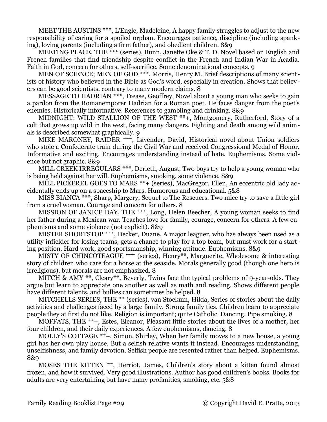MEET THE AUSTINS \*\*\*, L'Engle, Madeleine, A happy family struggles to adjust to the new responsibility of caring for a spoiled orphan. Encourages patience, discipline (including spanking), loving parents (including a firm father), and obedient children. 8&9

MEETING PLACE, THE \*\*\* (series), Bunn, Janette Oke & T. D. Novel based on English and French families that find friendship despite conflict in the French and Indian War in Acadia. Faith in God, concern for others, self-sacrifice. Some denominational concepts. 9

MEN OF SCIENCE; MEN OF GOD \*\*\*, Morris, Henry M. Brief descriptions of many scientists of history who believed in the Bible as God's word, especially in creation. Shows that believers can be good scientists, contrary to many modern claims. 8

MESSAGE TO HADRIAN \*\*\*, Trease, Geoffrey, Novel about a young man who seeks to gain a pardon from the Romanemporer Hadrian for a Roman poet. He faces danger from the poet's enemies. Historically informative. References to gambling and drinking. 8&9

MIDNIGHT: WILD STALLION OF THE WEST \*\*+, Montgomery, Rutherford, Story of a colt that grows up wild in the west, facing many dangers. Fighting and death among wild animals is described somewhat graphically. 9

MIKE MARONEY, RAIDER \*\*\*, Lavender, David, Historical novel about Union soldiers who stole a Confederate train during the Civil War and received Congressional Medal of Honor. Informative and exciting. Encourages understanding instead of hate. Euphemisms. Some violence but not graphic. 8&9

MILL CREEK IRREGULARS \*\*\*, Derleth, August, Two boys try to help a young woman who is being held against her will. Euphemisms, smoking, some violence. 8&9

MILL PICKEREL GOES TO MARS \*\*+ (series), MacGregor, Ellen, An eccentric old lady accidentally ends up on a spaceship to Mars. Humorous and educational. 5&8

MISS BIANCA \*\*\*, Sharp, Margery, Sequel to The Rescuers. Two mice try to save a little girl from a cruel woman. Courage and concern for others. 8

MISSION OF JANICE DAY, THE \*\*\*, Long, Helen Beecher, A young woman seeks to find her father during a Mexican war. Teaches love for family, courage, concern for others. A few euphemisms and some violence (not explicit). 8&9

MISTER SHORTSTOP \*\*\*, Decker, Duane, A major leaguer, who has always been used as a utility infielder for losing teams, gets a chance to play for a top team, but must work for a starting position. Hard work, good sportsmanship, winning attitude. Euphemisms. 8&9

MISTY OF CHINCOTEAGUE \*\*\* (series), Henry\*\*, Marguerite, Wholesome & interesting story of children who care for a horse at the seaside. Morals generally good (though one hero is irreligious), but morals are not emphasized. 8

MITCH & AMY \*\*, Cleary\*\*, Beverly, Twins face the typical problems of 9-year-olds. They argue but learn to appreciate one another as well as math and reading. Shows different people have different talents, and bullies can sometimes be helped. 8

MITCHELLS SERIES, THE \*\* (series), van Stockum, Hilda, Series of stories about the daily activities and challenges faced by a large family. Strong family ties. Children learn to appreciate people they at first do not like. Religion is important; quite Catholic. Dancing. Pipe smoking. 8

MOFFATS, THE \*\*+, Estes, Eleanor, Pleasant little stories about the lives of a mother, her four children, and their daily experiences. A few euphemisms, dancing. 8

MOLLY'S COTTAGE \*\*+, Simon, Shirley, When her family moves to a new house, a young girl has her own play house. But a selfish relative wants it instead. Encourages understanding, unselfishness, and family devotion. Selfish people are resented rather than helped. Euphemisms. 8&9

MOSES THE KITTEN \*\*, Herriot, James, Children's story about a kitten found almost frozen, and how it survived. Very good illustrations. Author has good children's books. Books for adults are very entertaining but have many profanities, smoking, etc. 5&8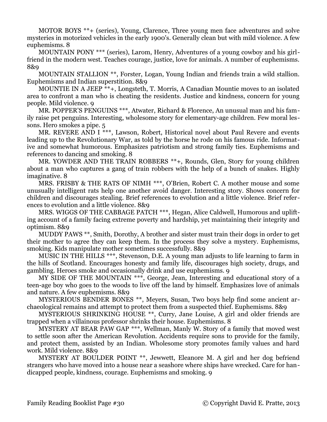MOTOR BOYS \*\*+ (series), Young, Clarence, Three young men face adventures and solve mysteries in motorized vehicles in the early 1900's. Generally clean but with mild violence. A few euphemisms. 8

MOUNTAIN PONY \*\*\* (series), Larom, Henry, Adventures of a young cowboy and his girlfriend in the modern west. Teaches courage, justice, love for animals. A number of euphemisms. 8&9

MOUNTAIN STALLION \*\*, Forster, Logan, Young Indian and friends train a wild stallion. Euphemisms and Indian superstition. 8&9

MOUNTIE IN A JEEP  $*+$ , Longsteth, T. Morris, A Canadian Mountie moves to an isolated area to confront a man who is cheating the residents. Justice and kindness, concern for young people. Mild violence. 9

MR. POPPER'S PENGUINS \*\*\*, Atwater, Richard & Florence, An unusual man and his family raise pet penguins. Interesting, wholesome story for elementary-age children. Few moral lessons. Hero smokes a pipe. 5

MR. REVERE AND I \*\*\*, Lawson, Robert, Historical novel about Paul Revere and events leading up to the Revolutionary War, as told by the horse he rode on his famous ride. Informative and somewhat humorous. Emphasizes patriotism and strong family ties. Euphemisms and references to dancing and smoking. 8

MR. YOWDER AND THE TRAIN ROBBERS \*\*+, Rounds, Glen, Story for young children about a man who captures a gang of train robbers with the help of a bunch of snakes. Highly imaginative. 8

MRS. FRISBY & THE RATS OF NIMH \*\*\*, O'Brien, Robert C. A mother mouse and some unusually intelligent rats help one another avoid danger. Interesting story. Shows concern for children and discourages stealing. Brief references to evolution and a little violence. Brief references to evolution and a little violence. 8&9

MRS. WIGGS OF THE CABBAGE PATCH \*\*\*, Hegan, Alice Caldwell, Humorous and uplifting account of a family facing extreme poverty and hardship, yet maintaining their integrity and optimism. 8&9

MUDDY PAWS \*\*, Smith, Dorothy, A brother and sister must train their dogs in order to get their mother to agree they can keep them. In the process they solve a mystery. Euphemisms, smoking. Kids manipulate mother sometimes successfully. 8&9

MUSIC IN THE HILLS \*\*\*, Stevenson, D.E. A young man adjusts to life learning to farm in the hills of Scotland. Encourages honesty and family life, discourages high society, drugs, and gambling. Heroes smoke and occasionally drink and use euphemisms. 9

MY SIDE OF THE MOUNTAIN \*\*\*, George, Jean, Interesting and educational story of a teen-age boy who goes to the woods to live off the land by himself. Emphasizes love of animals and nature. A few euphemisms. 8&9

MYSTERIOUS BENDER BONES \*\*, Meyers, Susan, Two boys help find some ancient archaeological remains and attempt to protect them from a suspected thief. Euphemisms. 8&9

MYSTERIOUS SHRINKING HOUSE \*\*, Curry, Jane Louise, A girl and older friends are trapped when a villainous professor shrinks their house. Euphemisms. 8

MYSTERY AT BEAR PAW GAP \*\*\*, Wellman, Manly W. Story of a family that moved west to settle soon after the American Revolution. Accidents require sons to provide for the family, and protect them, assisted by an Indian. Wholesome story promotes family values and hard work. Mild violence. 8&9

MYSTERY AT BOULDER POINT \*\*, Jewwett, Eleanore M. A girl and her dog befriend strangers who have moved into a house near a seashore where ships have wrecked. Care for handicapped people, kindness, courage. Euphemisms and smoking. 9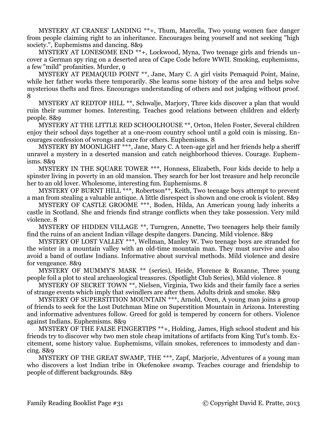MYSTERY AT CRANES' LANDING \*\*+, Thum, Marcella, Two young women face danger from people claiming right to an inheritance. Encourages being yourself and not seeking "high society.", Euphemisms and dancing. 8&9

MYSTERY AT LONESOME END \*\*+, Lockwood, Myna, Two teenage girls and friends uncover a German spy ring on a deserted area of Cape Code before WWII. Smoking, euphemisms, a few "mild" profanities. Murder, 9

MYSTERY AT PEMAQUID POINT \*\*, Jane, Mary C. A girl visits Pemaquid Point, Maine, while her father works there temporarily. She learns some history of the area and helps solve mysterious thefts and fires. Encourages understanding of others and not judging without proof. 8

MYSTERY AT REDTOP HILL \*\*, Schwalje, Marjory, Three kids discover a plan that would ruin their summer homes. Interesting. Teaches good relations between children and elderly people. 8&9

MYSTERY AT THE LITTLE RED SCHOOLHOUSE \*\*, Orton, Helen Foster, Several children enjoy their school days together at a one-room country school until a gold coin is missing. Encourages confession of wrongs and care for others. Euphemisms. 8

MYSTERY BY MOONLIGHT \*\*\*, Jane, Mary C. A teen-age girl and her friends help a sheriff unravel a mystery in a deserted mansion and catch neighborhood thieves. Courage. Euphemisms. 8&9

MYSTERY IN THE SQUARE TOWER \*\*\*, Honness, Elizabeth, Four kids decide to help a spinster living in poverty in an old mansion. They search for her lost treasure and help reconcile her to an old lover. Wholesome, interesting fun. Euphemisms. 8

MYSTERY OF BURNT HILL \*\*\*, Robertson\*\*, Keith, Two teenage boys attempt to prevent a man from stealing a valuable antique. A little disrespect is shown and one crook is violent. 8&9

MYSTERY OF CASTLE GROOME \*\*\*, Boden, Hilda, An American young lady inherits a castle in Scotland. She and friends find strange conflicts when they take possession. Very mild violence. 8

MYSTERY OF HIDDEN VILLAGE \*\*, Turngren, Annette, Two teenagers help their family find the ruins of an ancient Indian village despite dangers. Dancing. Mild violence. 8&9

MYSTERY OF LOST VALLEY \*\*\*, Wellman, Manley W. Two teenage boys are stranded for the winter in a mountain valley with an old-time mountain man. They must survive and also avoid a band of outlaw Indians. Informative about survival methods. Mild violence and desire for vengeance. 8&9

MYSTERY OF MUMMY'S MASK \*\* (series), Heide, Florence & Roxanne, Three young people foil a plot to steal archaeological treasures. (Spotlight Club Series), Mild violence. 8

MYSTERY OF SECRET TOWN \*\*, Nielsen, Virginia, Two kids and their family face a series of strange events which imply that swindlers are after them. Adults drink and smoke. 8&9

MYSTERY OF SUPERSTITION MOUNTAIN \*\*\*, Arnold, Oren, A young man joins a group of friends to seek for the Lost Dutchman Mine on Superstition Mountain in Arizona. Interesting and informative adventures follow. Greed for gold is tempered by concern for others. Violence against Indians. Euphemisms. 8&9

MYSTERY OF THE FALSE FINGERTIPS \*\*+, Holding, James, High school student and his friends try to discover why two men stole cheap imitations of artifacts from King Tut's tomb. Excitement, some history value. Euphemisms, villain smokes, references to immodesty and dancing. 8&9

MYSTERY OF THE GREAT SWAMP, THE \*\*\*, Zapf, Marjorie, Adventures of a young man who discovers a lost Indian tribe in Okefenokee swamp. Teaches courage and friendship to people of different backgrounds. 8&9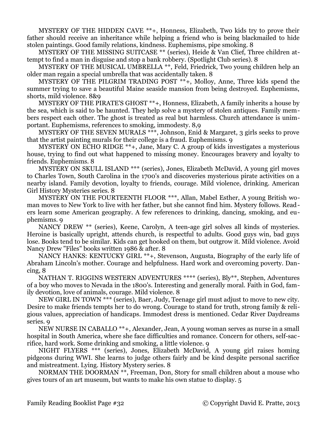MYSTERY OF THE HIDDEN CAVE \*\*+, Honness, Elizabeth, Two kids try to prove their father should receive an inheritance while helping a friend who is being blackmailed to hide stolen paintings. Good family relations, kindness. Euphemisms, pipe smoking. 8

MYSTERY OF THE MISSING SUITCASE \*\* (series), Heide & Van Clief, Three children attempt to find a man in disguise and stop a bank robbery. (Spotlight Club series). 8

MYSTERY OF THE MUSICAL UMBRELLA \*\*, Feld, Friedrick, Two young children help an older man regain a special umbrella that was accidentally taken. 8

MYSTERY OF THE PILGRIM TRADING POST \*\*+, Molloy, Anne, Three kids spend the summer trying to save a beautiful Maine seaside mansion from being destroyed. Euphemisms, shorts, mild violence. 8&9

MYSTERY OF THE PIRATE'S GHOST \*\*+, Honness, Elizabeth, A family inherits a house by the sea, which is said to be haunted. They help solve a mystery of stolen antiques. Family members respect each other. The ghost is treated as real but harmless. Church attendance is unimportant. Euphemisms, references to smoking, immodesty. 8,9

MYSTERY OF THE SEVEN MURALS \*\*\*, Johnson, Enid & Margaret, 3 girls seeks to prove that the artist painting murals for their college is a fraud. Euphemisms. 9

MYSTERY ON ECHO RIDGE \*\*+, Jane, Mary C. A group of kids investigates a mysterious house, trying to find out what happened to missing money. Encourages bravery and loyalty to friends. Euphemisms. 8

MYSTERY ON SKULL ISLAND \*\*\* (series), Jones, Elizabeth McDavid, A young girl moves to Charles Town, South Carolina in the 1700's and discoveries mysterious pirate activities on a nearby island. Family devotion, loyalty to friends, courage. Mild violence, drinking. American Girl History Mysteries series. 8

MYSTERY ON THE FOURTEENTH FLOOR \*\*\*, Allan, Mabel Esther, A young British woman moves to New York to live with her father, but she cannot find him. Mystery follows. Readers learn some American geography. A few references to drinking, dancing, smoking, and euphemisms. 9

NANCY DREW \*\* (series), Keene, Carolyn, A teen-age girl solves all kinds of mysteries. Heroine is basically upright, attends church, is respectful to adults. Good guys win, bad guys lose. Books tend to be similar. Kids can get hooked on them, but outgrow it. Mild violence. Avoid Nancy Drew "Files" books written 1986 & after. 8

NANCY HANKS: KENTUCKY GIRL \*\*+, Stevenson, Augusta, Biography of the early life of Abraham Lincoln's mother. Courage and helpfulness. Hard work and overcoming poverty. Dancing, 8

NATHAN T. RIGGINS WESTERN ADVENTURES \*\*\*\* (series), Bly\*\*, Stephen, Adventures of a boy who moves to Nevada in the 1800's. Interesting and generally moral. Faith in God, family devotion, love of animals, courage. Mild violence. 8

NEW GIRL IN TOWN \*\*\* (series), Baer, Judy, Teenage girl must adjust to move to new city. Desire to make friends tempts her to do wrong. Courage to stand for truth, strong family & religious values, appreciation of handicaps. Immodest dress is mentioned. Cedar River Daydreams series. 9

NEW NURSE IN CABALLO \*\*+, Alexander, Jean, A young woman serves as nurse in a small hospital in South America, where she face difficulties and romance. Concern for others, self-sacrifice, hard work. Some drinking and smoking, a little violence. 9

NIGHT FLYERS \*\*\* (series), Jones, Elizabeth McDavid, A young girl raises homing pidgeons during WWI. She learns to judge others fairly and be kind despite personal sacrifice and mistreatment. Lying. History Mystery series. 8

NORMAN THE DOORMAN \*\*, Freeman, Don, Story for small children about a mouse who gives tours of an art museum, but wants to make his own statue to display. 5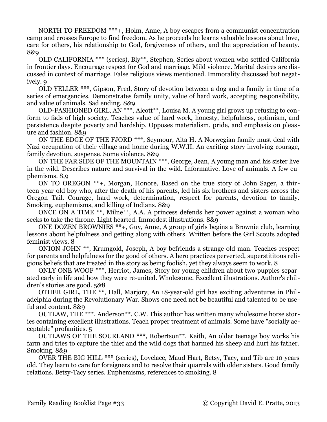NORTH TO FREEDOM \*\*\*+, Holm, Anne, A boy escapes from a communist concentration camp and crosses Europe to find freedom. As he proceeds he learns valuable lessons about love, care for others, his relationship to God, forgiveness of others, and the appreciation of beauty. 8&9

OLD CALIFORNIA \*\*\* (series), Bly\*\*, Stephen, Series about women who settled California in frontier days. Encourage respect for God and marriage. Mild violence. Marital desires are discussed in context of marriage. False religious views mentioned. Immorality discussed but negatively. 9

OLD YELLER \*\*\*, Gipson, Fred, Story of devotion between a dog and a family in time of a series of emergencies. Demonstrates family unity, value of hard work, accepting responsibility, and value of animals. Sad ending. 8&9

OLD-FASHIONED GIRL,  $\overline{AN}$  \*\*\*, Alcott<sup>\*\*</sup>, Louisa M. A young girl grows up refusing to conform to fads of high society. Teaches value of hard work, honesty, helpfulness, optimism, and persistence despite poverty and hardship. Opposes materialism, pride, and emphasis on pleasure and fashion. 8&9

ON THE EDGE OF THE FJORD \*\*\*, Seymour, Alta H. A Norwegian family must deal with Nazi occupation of their village and home during W.W.II. An exciting story involving courage, family devotion, suspense. Some violence. 8&9

ON THE FAR SIDE OF THE MOUNTAIN \*\*\*, George, Jean, A young man and his sister live in the wild. Describes nature and survival in the wild. Informative. Love of animals. A few euphemisms. 8,9

ON TO OREGON \*\*+, Morgan, Honore, Based on the true story of John Sager, a thirteen-year-old boy who, after the death of his parents, led his six brothers and sisters across the Oregon Tail. Courage, hard work, determination, respect for parents, devotion to family. Smoking, euphemisms, and killing of Indians. 8&9

ONCE ON A TIME \*\*, Milne\*\*, A.A. A princess defends her power against a woman who seeks to take the throne. Light hearted. Immodest illustrations. 8&9

ONE DOZEN BROWNIES \*\*+, Guy, Anne, A group of girls begins a Brownie club, learning lessons about helpfulness and getting along with others. Written before the Girl Scouts adopted feminist views. 8

ONION JOHN \*\*, Krumgold, Joseph, A boy befriends a strange old man. Teaches respect for parents and helpfulness for the good of others. A hero practices perverted, superstititous religious beliefs that are treated in the story as being foolish, yet they always seem to work. 8

ONLY ONE WOOF \*\*\*, Herriot, James, Story for young children about two puppies separated early in life and how they were re-united. Wholesome. Excellent illustrations. Author's children's stories are good. 5&8

OTHER GIRL, THE \*\*, Hall, Marjory, An 18-year-old girl has exciting adventures in Philadelphia during the Revolutionary War. Shows one need not be beautiful and talented to be useful and content. 8&9

OUTLAW, THE \*\*\*, Anderson\*\*, C.W. This author has written many wholesome horse stories containing excellent illustrations. Teach proper treatment of animals. Some have "socially acceptable" profanities. 5

OUTLAWS OF THE SOURLAND \*\*\*, Robertson\*\*, Keith, An older teenage boy works his farm and tries to capture the thief and the wild dogs that harmed his sheep and hurt his father. Smoking. 8&9

OVER THE BIG HILL \*\*\* (series), Lovelace, Maud Hart, Betsy, Tacy, and Tib are 10 years old. They learn to care for foreigners and to resolve their quarrels with older sisters. Good family relations. Betsy-Tacy series. Euphemisms, references to smoking. 8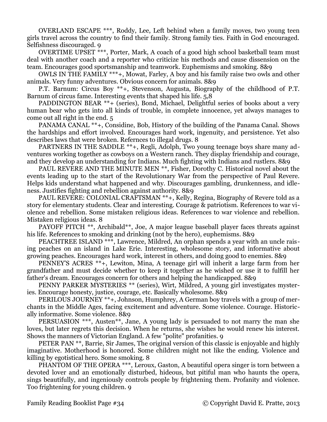OVERLAND ESCAPE \*\*\*, Roddy, Lee, Left behind when a family moves, two young teen girls travel across the country to find their family. Strong family ties. Faith in God encouraged. Selfishness discouraged. 9

OVERTIME UPSET \*\*\*, Porter, Mark, A coach of a good high school basketball team must deal with another coach and a reporter who criticize his methods and cause dissension on the team. Encourages good sportsmanship and teamwork. Euphemisms and smoking. 8&9

OWLS IN THE FAMILY \*\*\*+, Mowat, Farley, A boy and his family raise two owls and other animals. Very funny adventures. Obvious concern for animals. 8&9

P.T. Barnum: Circus Boy \*\*+, Stevenson, Augusta, Biography of the childhood of P.T. Barnum of circus fame. Interesting events that shaped his life. 5,8

PADDINGTON BEAR \*\*+ (series), Bond, Michael, Delightful series of books about a very human bear who gets into all kinds of trouble, in complete innocence, yet always manages to come out all right in the end. 5

PANAMA CANAL \*\*+, Considine, Bob, History of the building of the Panama Canal. Shows the hardships and effort involved. Encourages hard work, ingenuity, and persistence. Yet also describes laws that were broken. Refernces to illegal drugs. 8

PARTNERS IN THE SADDLE \*\*+, Regli, Adolph, Two young teenage boys share many adventures working together as cowboys on a Western ranch. They display friendship and courage, and they develop an understanding for Indians. Much fighting with Indians and rustlers. 8&9

PAUL REVERE AND THE MINUTE MEN \*\*, Fisher, Dorothy C. Historical novel about the events leading up to the start of the Revolutionary War from the perspective of Paul Revere. Helps kids understand what happened and why. Discourages gambling, drunkenness, and idleness. Justifies fighting and rebellion against authority. 8&9

PAUL REVERE: COLONIAL CRAFTSMAN \*\*+, Kelly, Regina, Biography of Revere told as a story for elementary students. Clear and interesting. Courage & patriotism. References to war violence and rebellion. Some mistaken religious ideas. References to war violence and rebellion. Mistaken religious ideas. 8

PAYOFF PITCH \*\*, Archibald\*\*, Joe, A major league baseball player faces threats against his life. References to smoking and drinking (not by the hero), euphemisms. 8&9

PEACHTREE ISLAND \*\*\*, Lawrence, Mildred, An orphan spends a year with an uncle raising peaches on an island in Lake Erie. Interesting, wholesome story, and informative about growing peaches. Encourages hard work, interest in others, and doing good to enemies. 8&9

PENNEY'S ACRES \*\*+, Lewiton, Mina, A teenage girl will inherit a large farm from her grandfather and must decide whether to keep it together as he wished or use it to fulfill her father's dream. Encourages concern for others and helping the handicapped. 8&9

PENNY PARKER MYSTERIES \*\* (series), Wirt, Mildred, A young girl investigates mysteries. Encourage honesty, justice, courage, etc. Basically wholesome. 8&9

PERILOUS JOURNEY \*\*+, Johnson, Humphrey, A German boy travels with a group of merchants in the Middle Ages, facing excitement and adventure. Some violence. Courage. Historically informative. Some violence. 8&9

PERSUASION \*\*\*, Austen\*\*, Jane, A young lady is persuaded to not marry the man she loves, but later regrets this decision. When he returns, she wishes he would renew his interest. Shows the manners of Victorian England. A few "polite" profanities. 9

PETER PAN \*\*, Barrie, Sir James, The original version of this classic is enjoyable and highly imaginative. Motherhood is honored. Some children might not like the ending. Violence and killing by egotistical hero. Some smoking. 8

PHANTOM OF THE OPERA \*\*\*, Leroux, Gaston, A beautiful opera singer is torn between a devoted lover and an emotionally disturbed, hideous, but pitiful man who haunts the opera, sings beautifully, and ingeniously controls people by frightening them. Profanity and violence. Too frightening for young children. 9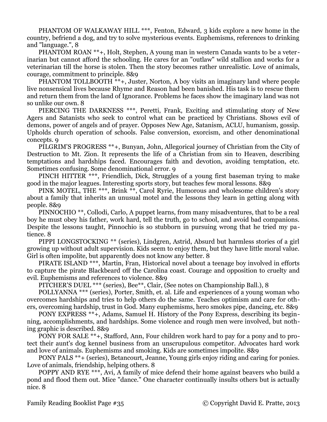PHANTOM OF WALKAWAY HILL \*\*\*, Fenton, Edward, 3 kids explore a new home in the country, befriend a dog, and try to solve mysterious events. Euphemisms, references to drinking and "language.", 8

PHANTOM ROAN \*\*+, Holt, Stephen, A young man in western Canada wants to be a veterinarian but cannot afford the schooling. He cares for an "outlaw" wild stallion and works for a veterinarian till the horse is stolen. Then the story becomes rather unrealistic. Love of animals, courage, commitment to principle. 8&9

PHANTOM TOLLBOOTH \*\*+, Juster, Norton, A boy visits an imaginary land where people live nonsensical lives because Rhyme and Reason had been banished. His task is to rescue them and return them from the land of Ignorance. Problems he faces show the imaginary land was not so unlike our own. 8

PIERCING THE DARKNESS \*\*\*, Peretti, Frank, Exciting and stimulating story of New Agers and Satanists who seek to control what can be practiced by Christians. Shows evil of demons, power of angels and of prayer. Opposes New Age, Satanism, ACLU, humanism, gossip. Upholds church operation of schools. False conversion, exorcism, and other denominational concepts. 9

PILGRIM'S PROGRESS \*\*+, Bunyan, John, Allegorical journey of Christian from the City of Destruction to Mt. Zion. It represents the life of a Christian from sin to Heaven, describing temptations and hardships faced. Encourages faith and devotion, avoiding temptation, etc. Sometimes confusing. Some denominational error. 9

PINCH HITTER \*\*\*, Friendlich, Dick, Struggles of a young first baseman trying to make good in the major leagues. Interesting sports story, but teaches few moral lessons. 8&9

PINK MOTEL, THE \*\*\*, Brink \*\*, Carol Ryrie, Humorous and wholesome children's story about a family that inherits an unusual motel and the lessons they learn in getting along with people. 8&9

PINNOCHIO \*\*, Collodi, Carlo, A puppet learns, from many misadventures, that to be a real boy he must obey his father, work hard, tell the truth, go to school, and avoid bad companions. Despite the lessons taught, Pinnochio is so stubborn in pursuing wrong that he tried my patience. 8

PIPPI LONGSTOCKING \*\* (series), Lindgren, Astrid, Absurd but harmless stories of a girl growing up without adult supervision. Kids seem to enjoy them, but they have little moral value. Girl is often impolite, but apparently does not know any better. 8

PIRATE ISLAND \*\*\*, Martin, Fran, Historical novel about a teenage boy involved in efforts to capture the pirate Blackbeard off the Carolina coast. Courage and opposition to cruelty and evil. Euphemisms and references to violence. 8&9

PITCHER'S DUEL \*\*\* (series), Bee\*\*, Clair, (See notes on Championship Ball.), 8

POLLYANNA \*\*\* (series), Porter, Smith, et. al. Life and experiences of a young woman who overcomes hardships and tries to help others do the same. Teaches optimism and care for others, overcoming hardship, trust in God. Many euphemisms, hero smokes pipe, dancing, etc. 8&9

PONY EXPRESS \*\*+, Adams, Samuel H. History of the Pony Express, describing its beginning, accomplishments, and hardships. Some violence and rough men were involved, but nothing graphic is described. 8&9

PONY FOR SALE \*\*+, Stafford, Ann, Four children work hard to pay for a pony and to protect their aunt's dog kennel business from an unscrupulous competitor. Advocates hard work and love of animals. Euphemisms and smoking. Kids are sometimes impolite. 8&9

PONY PALS \*\*+ (series), Betancourt, Jeanne, Young girls enjoy riding and caring for ponies. Love of animals, friendship, helping others. 8

POPPY AND RYE \*\*\*, Avi, A family of mice defend their home against beavers who build a pond and flood them out. Mice "dance." One character continually insults others but is actually nice. 8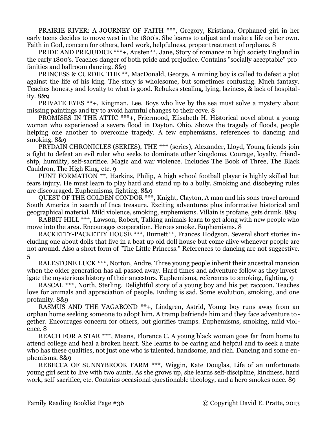PRAIRIE RIVER: A JOURNEY OF FAITH \*\*\*, Gregory, Kristiana, Orphaned girl in her early teens decides to move west in the 1800's. She learns to adjust and make a life on her own. Faith in God, concern for others, hard work, helpfulness, proper treatment of orphans. 8

PRIDE AND PREJUDICE \*\*\*+, Austen\*\*, Jane, Story of romance in high society England in the early 1800's. Teaches danger of both pride and prejudice. Contains "socially acceptable" profanities and ballroom dancing. 8&9

PRINCESS & CURDIE, THE \*\*, MacDonald, George, A mining boy is called to defeat a plot against the life of his king. The story is wholesome, but sometimes confusing. Much fantasy. Teaches honesty and loyalty to what is good. Rebukes stealing, lying, laziness, & lack of hospitality. 8&9

PRIVATE EYES \*\*+, Kingman, Lee, Boys who live by the sea must solve a mystery about missing paintings and try to avoid harmful changes to their cove. 8

PROMISES IN THE ATTIC \*\*\*+, Friermood, Elisabeth H. Historical novel about a young woman who experienced a severe flood in Dayton, Ohio. Shows the tragedy of floods, people helping one another to overcome tragedy. A few euphemisms, references to dancing and smoking. 8&9

PRYDAIN CHRONICLES (SERIES), THE \*\*\* (series), Alexander, Lloyd, Young friends join a fight to defeat an evil ruler who seeks to dominate other kingdoms. Courage, loyalty, friendship, humility, self-sacrifice. Magic and war violence. Includes The Book of Three, The Black Cauldron, The High King, etc. 9

PUNT FORMATION \*\*, Harkins, Philip, A high school football player is highly skilled but fears injury. He must learn to play hard and stand up to a bully. Smoking and disobeying rules are discouraged. Euphemisms, fighting. 8&9

QUEST OF THE GOLDEN CONDOR \*\*\*, Knight, Clayton, A man and his sons travel around South America in search of Inca treasure. Exciting adventures plus informative historical and geographical material. Mild violence, smoking, euphemisms. Villain is profane, gets drunk. 8&9

RABBIT HILL \*\*\*, Lawson, Robert, Talking animals learn to get along with new people who move into the area. Encourages cooperation. Heroes smoke. Euphemisms. 8

RACKETTY-PACKETTY HOUSE \*\*\*, Burnett\*\*, Frances Hodgson, Several short stories including one about dolls that live in a beat up old doll house but come alive whenever people are not around. Also a short form of "The Little Princess." References to dancing are not suggestive. 5

RALESTONE LUCK \*\*\*, Norton, Andre, Three young people inherit their ancestral mansion when the older generation has all passed away. Hard times and adventure follow as they investigate the mysterious history of their ancestors. Euphemisms, references to smoking, fighting. 9

RASCAL \*\*\*, North, Sterling, Delightful story of a young boy and his pet raccoon. Teaches love for animals and appreciation of people. Ending is sad. Some evolution, smoking, and one profanity. 8&9

RASMUS AND THE VAGABOND \*\*+, Lindgren, Astrid, Young boy runs away from an orphan home seeking someone to adopt him. A tramp befriends him and they face adventure together. Encourages concern for others, but glorifies tramps. Euphemisms, smoking, mild violence. 8

REACH FOR A STAR \*\*\*, Means, Florence C. A young black woman goes far from home to attend college and heal a broken heart. She learns to be caring and helpful and to seek a mate who has these qualities, not just one who is talented, handsome, and rich. Dancing and some euphemisms. 8&9

REBECCA OF SUNNYBROOK FARM \*\*\*, Wiggin, Kate Douglas, Life of an unfortunate young girl sent to live with two aunts. As she grows up, she learns self-discipline, kindness, hard work, self-sacrifice, etc. Contains occasional questionable theology, and a hero smokes once. 89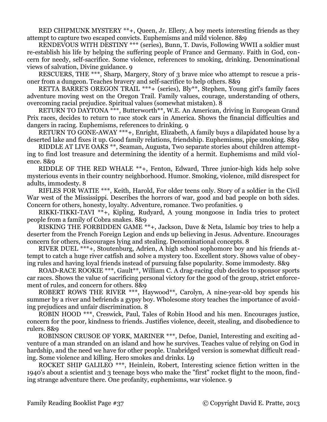RED CHIPMUNK MYSTERY \*\*+, Queen, Jr. Ellery, A boy meets interesting friends as they attempt to capture two escaped convicts. Euphemisms and mild violence. 8&9

RENDEVOUS WITH DESTINY \*\*\* (series), Bunn, T. Davis, Following WWII a soldier must re-establish his life by helping the suffering people of France and Germany. Faith in God, concern for needy, self-sacrifice. Some violence, references to smoking, drinking. Denominational views of salvation, Divine guidance. 9

RESCUERS, THE \*\*\*, Sharp, Margery, Story of 3 brave mice who attempt to rescue a prisoner from a dungeon. Teaches bravery and self-sacrifice to help others. 8&9

RETTA BARRE'S OREGON TRAIL \*\*\*+ (series), Bly\*\*, Stephen, Young girl's family faces adventure moving west on the Oregon Trail. Family values, courage, understanding of others, overcoming racial prejudice. Spiritual values (somewhat mistaken). 8

RETURN TO DAYTONA \*\*\*, Butterworth\*\*, W.E. An American, driving in European Grand Prix races, decides to return to race stock cars in America. Shows the financial difficulties and dangers in racing. Euphemisms, references to drinking. 9

RETURN TO GONE-AWAY \*\*\*+, Enright, Elizabeth, A family buys a dilapidated house by a deserted lake and fixes it up. Good family relations, friendship. Euphemisms, pipe smoking. 8&9

RIDDLE AT LIVE OAKS \*\*, Seaman, Augusta, Two separate stories about children attempting to find lost treasure and determining the identity of a hermit. Euphemisms and mild violence. 8&9

RIDDLE OF THE RED WHALE \*\*+, Fenton, Edward, Three junior-high kids help solve mysterious events in their country neighborhood. Humor. Smoking, violence, mild disrespect for adults, immodesty. 8

RIFLES FOR WATIE \*\*\*, Keith, Harold, For older teens only. Story of a soldier in the Civil War west of the Mississippi. Describes the horrors of war, good and bad people on both sides. Concern for others, honesty, loyalty. Adventure, romance. Two profanities. 9

RIKKI-TIKKI-TAVI \*\*+, Kipling, Rudyard, A young mongoose in India tries to protect people from a family of Cobra snakes. 8&9

RISKING THE FORBIDDEN GAME \*\*+, Jackson, Dave & Neta, Islamic boy tries to help a deserter from the French Foreign Legion and ends up believing in Jesus. Adventure. Encourages concern for others, discourages lying and stealing. Denominational concepts. 8

RIVER DUEL \*\*\*+, Stoutenburg, Adrien, A high school sophomore boy and his friends attempt to catch a huge river catfish and solve a mystery too. Excellent story. Shows value of obeying rules and having loyal friends instead of pursuing false popularity. Some immodesty. 8&9

ROAD-RACE ROOKIE \*\*\*, Gault\*\*, William C. A drag-racing club decides to sponsor sports car races. Shows the value of sacrificing personal victory for the good of the group, strict enforcement of rules, and concern for others. 8&9

ROBERT ROWS THE RIVER \*\*\*, Haywood\*\*, Carolyn, A nine-year-old boy spends his summer by a river and befriends a gypsy boy. Wholesome story teaches the importance of avoiding prejudices and unfair discrimination. 8

ROBIN HOOD \*\*\*, Creswick, Paul, Tales of Robin Hood and his men. Encourages justice, concern for the poor, kindness to friends. Justifies violence, deceit, stealing, and disobedience to rulers. 8&9

ROBINSON CRUSOE OF YORK, MARINER \*\*\*, Defoe, Daniel, Interesting and exciting adventure of a man stranded on an island and how he survives. Teaches value of relying on God in hardship, and the need we have for other people. Unabridged version is somewhat difficult reading. Some violence and killing. Hero smokes and drinks. L9

ROCKET SHIP GALILEO \*\*\*, Heinlein, Robert, Interesting science fiction written in the 1940's about a scientist and 3 teenage boys who make the "first" rocket flight to the moon, finding strange adventure there. One profanity, euphemisms, war violence. 9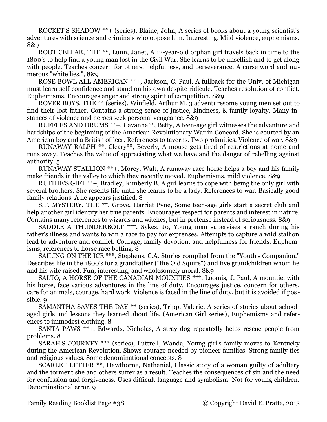ROCKET'S SHADOW \*\*+ (series), Blaine, John, A series of books about a young scientist's adventures with science and criminals who oppose him. Interesting. Mild violence, euphemisms. 8&9

ROOT CELLAR, THE \*\*, Lunn, Janet, A 12-year-old orphan girl travels back in time to the 1800's to help find a young man lost in the Civil War. She learns to be unselfish and to get along with people. Teaches concern for others, helpfulness, and perseverance. A curse word and numerous "white lies.", 8&9

ROSE BOWL ALL-AMERICAN \*\*+, Jackson, C. Paul, A fullback for the Univ. of Michigan must learn self-confidence and stand on his own despite ridicule. Teaches resolution of conflict. Euphemisms. Encourages anger and strong spirit of competition. 8&9

ROVER BOYS, THE \*\* (series), Winfield, Arthur M. 3 adventuresome young men set out to find their lost father. Contains a strong sense of justice, kindness, & family loyalty. Many instances of violence and heroes seek personal vengeance. 8&9

RUFFLES AND DRUMS \*\*+, Cavanna\*\*, Betty, A teen-age girl witnesses the adventure and hardships of the beginning of the American Revolutionary War in Concord. She is courted by an American boy and a British officer. References to taverns. Two profanities. Violence of war. 8&9

RUNAWAY RALPH \*\*, Cleary\*\*, Beverly, A mouse gets tired of restrictions at home and runs away. Teaches the value of appreciating what we have and the danger of rebelling against authority. 5

RUNAWAY STALLION \*\*+, Morey, Walt, A runaway race horse helps a boy and his family make friends in the valley to which they recently moved. Euphemisms, mild violence. 8&9

RUTHIE'S GIFT \*\*+, Bradley, Kimberly B. A girl learns to cope with being the only girl with several brothers. She resents life until she learns to be a lady. References to war. Basically good family relations. A lie appears justified. 8

S.P. MYSTERY, THE \*\*, Grove, Harriet Pyne, Some teen-age girls start a secret club and help another girl identify her true parents. Encourages respect for parents and interest in nature. Contains many references to wizards and witches, but in pretense instead of seriousness. 8&9

SADDLE A THUNDERBOLT \*\*\*, Sykes, Jo, Young man supervises a ranch during his father's illness and wants to win a race to pay for exprenses. Attempts to capture a wild stallion lead to adventure and conflict. Courage, family devotion, and helpfulness for friends. Euphemisms, references to horse race betting. 8

SAILING ON THE ICE \*\*\*, Stephens, C.A. Stories compiled from the "Youth's Companion." Describes life in the 1800's for a grandfather ("the Old Squire") and five grandchildren whom he and his wife raised. Fun, interesting, and wholesomely moral. 8&9

SALTO, A HORSE OF THE CANADIAN MOUNTIES \*\*\*, Loomis, J. Paul, A mountie, with his horse, face various adventures in the line of duty. Encourages justice, concern for others, care for animals, courage, hard work. Violence is faced in the line of duty, but it is avoided if possible. 9

SAMANTHA SAVES THE DAY \*\* (series), Tripp, Valerie, A series of stories about schoolaged girls and lessons they learned about life. (American Girl series), Euphemisms and references to immodest clothing. 8

SANTA PAWS \*\*+, Edwards, Nicholas, A stray dog repeatedly helps rescue people from problems. 8

SARAH'S JOURNEY \*\*\* (series), Luttrell, Wanda, Young girl's family moves to Kentucky during the American Revolution. Shows courage needed by pioneer families. Strong family ties and religious values. Some denominational concepts. 8

SCARLET LETTER \*\*, Hawthorne, Nathaniel, Classic story of a woman guilty of adultery and the torment she and others suffer as a result. Teaches the consequences of sin and the need for confession and forgiveness. Uses difficult language and symbolism. Not for young children. Denominational error. 9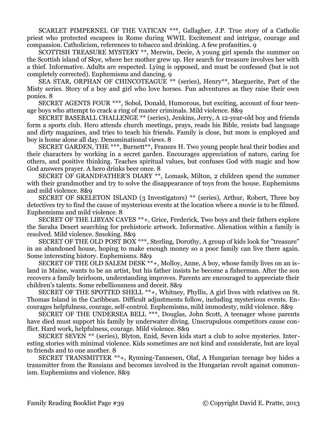SCARLET PIMPERNEL OF THE VATICAN \*\*\*, Gallagher, J.P. True story of a Catholic priest who protected escapees in Rome during WWII. Excitement and intrigue, courage and compassion. Catholicism, references to tobacco and drinking. A few profanities. 9

SCOTTISH TREASURE MYSTERY \*\*, Merwin, Decie, A young girl spends the summer on the Scottish island of Skye, where her mother grew up. Her search for treasure involves her with a thief. Informative. Adults are respected. Lying is opposed, and must be confessed (but is not completely corrected). Euphemisms and dancing. 9

SEA STAR, ORPHAN OF CHINCOTEAGUE \*\* (series), Henry\*\*, Marguerite, Part of the Misty series. Story of a boy and girl who love horses. Fun adventures as they raise their own ponies. 8

SECRET AGENTS FOUR \*\*\*, Sobol, Donald, Humorous, but exciting, account of four teenage boys who attempt to crack a ring of master criminals. Mild violence. 8&9

SECRET BASEBALL CHALLENGE \*\* (series), Jenkins, Jerry, A 12-year-old boy and friends form a sports club. Hero attends church meetings, prays, reads his Bible, resists bad language and dirty magazines, and tries to teach his friends. Family is close, but mom is employed and boy is home alone all day. Denominational views. 8

SECRET GARDEN, THE \*\*\*, Burnett\*\*, Frances H. Two young people heal their bodies and their characters by working in a secret garden. Encourages appreciation of nature, caring for others, and positive thinking. Teaches spiritual values, but confuses God with magic and how God answers prayer. A hero drinks beer once. 8

SECRET OF GRANDFATHER'S DIARY \*\*, Lomask, Milton, 2 children spend the summer with their grandmother and try to solve the disappearance of toys from the house. Euphemisms and mild violence. 8&9

SECRET OF SKELETON ISLAND (3 Investigators) \*\* (series), Arthur, Robert, Three boy detectives try to find the cause of mysterious events at the location where a movie is to be filmed. Euphemisms and mild violence. 8

SECRET OF THE LIBYAN CAVES \*\*+, Grice, Frederick, Two boys and their fathers explore the Saraha Desert searching for prehistoric artwork. Informative. Alienation within a family is resolved. Mild violence. Smoking. 8&9

SECRET OF THE OLD POST BOX \*\*\*, Sterling, Dorothy, A group of kids look for "treasure" in an abandoned house, hoping to make enough money so a poor family can live there again. Some interesting history. Euphemisms. 8&9

SECRET OF THE OLD SALEM DESK \*\*+, Molloy, Anne, A boy, whose family lives on an island in Maine, wants to be an artist, but his father insists he become a fisherman. After the son recovers a family heirloom, understanding improves. Parents are encouraged to appreciate their children's talents. Some rebelliousness and deceit. 8&9

SECRET OF THE SPOTTED SHELL \*\*+, Whitney, Phyllis, A girl lives with relatives on St. Thomas Island in the Caribbean. Difficult adjustments follow, including mysterious events. Encourages helpfulness, courage, self-control. Euphemisms, mild immodesty, mild violence. 8&9

SECRET OF THE UNDERSEA BELL \*\*\*, Douglas, John Scott, A teenager whose parents have died must support his family by underwater diving. Unscrupulous competitors cause conflict. Hard work, helpfulness, courage. Mild violence. 8&9

SECRET SEVEN \*\* (series), Blyton, Enid, Seven kids start a club to solve mysteries. Interesting stories with minimal violence. Kids sometimes are not kind and considerate, but are loyal to friends and to one another. 8

SECRET TRANSMITTER \*\*+, Rynning-Tannesen, Olaf, A Hungarian teenage boy hides a transmitter from the Russians and becomes involved in the Hungarian revolt against communism. Euphemisms and violence. 8&9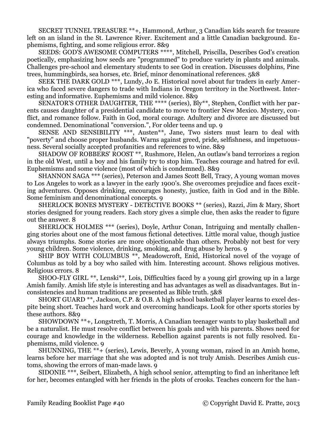SECRET TUNNEL TREASURE \*\*+, Hammond, Arthur, 3 Canadian kids search for treasure left on an island in the St. Lawrence River. Excitement and a little Canadian background. Euphemisms, fighting, and some religious error. 8&9

SEEDS: GOD'S AWESOME COMPUTERS \*\*\*\*, Mitchell, Priscilla, Describes God's creation poetically, emphasizing how seeds are "programmed" to produce variety in plants and animals. Challenges pre-school and elementary students to see God in creation. Discusses dolphins, Pine trees, hummingbirds, sea horses, etc. Brief, minor denominational references. 5&8

SEEK THE DARK GOLD \*\*\*, Lundy, Jo E. Historical novel about fur traders in early America who faced severe dangers to trade with Indians in Oregon territory in the Northwest. Interesting and informative. Euphemisms and mild violence. 8&9

SENATOR'S OTHER DAUGHTER, THE \*\*\*\* (series), Bly\*\*, Stephen, Conflict with her parents causes daughter of a presidential candidate to move to frontier New Mexico. Mystery, conflict, and romance follow. Faith in God, moral courage. Adultery and divorce are discussed but condemned. Denominational "conversion.", For older teens and up. 9

SENSE AND SENSIBILITY \*\*\*, Austen\*\*, Jane, Two sisters must learn to deal with "poverty" and choose proper husbands. Warns against greed, pride, selfishness, and impetuousness. Several socially accepted profanities and references to wine. 8&9

SHADOW OF ROBBERS' ROOST \*\*, Rushmore, Helen, An outlaw's band terrorizes a region in the old West, until a boy and his family try to stop him. Teaches courage and hatred for evil. Euphemisms and some violence (most of which is condemned). 8&9

SHANNON SAGA \*\*\* (series), Peterson and James Scott Bell, Tracy, A young woman moves to Los Angeles to work as a lawyer in the early 1900's. She overcomes prejudice and faces exciting adventures. Opposes drinking, encourages honesty, justice, faith in God and in the Bible. Some feminism and denominational concepts. 9

SHERLOCK BONES MYSTERY - DETECTIVE BOOKS \*\* (series), Razzi, Jim & Mary, Short stories designed for young readers. Each story gives a simple clue, then asks the reader to figure out the answer. 8

SHERLOCK HOLMES \*\*\* (series), Doyle, Arthur Conan, Intriguing and mentally challenging stories about one of the most famous fictional detectives. Little moral value, though justice always triumphs. Some stories are more objectionable than others. Probably not best for very young children. Some violence, drinking, smoking, and drug abuse by heros. 9

SHIP BOY WITH COLUMBUS \*\*, Meadowcroft, Enid, Historical novel of the voyage of Columbus as told by a boy who sailed with him. Interesting account. Shows religious motives. Religious errors. 8

SHOO-FLY GIRL \*\*, Lenski\*\*, Lois, Difficulties faced by a young girl growing up in a large Amish family. Amish life style is interesting and has advantages as well as disadvantages. But inconsistencies and human traditions are presented as Bible truth. 5&8

SHORT GUARD \*\*, Jackson, C.P. & O.B. A high school basketball player learns to excel despite being short. Teaches hard work and overcoming handicaps. Look for other sports stories by these authors. 8&9

SHOWDOWN \*\*+, Longstreth, T. Morris, A Canadian teenager wants to play basketball and be a naturalist. He must resolve conflict between his goals and with his parents. Shows need for courage and knowledge in the wilderness. Rebellion against parents is not fully resolved. Euphemisms, mild violence. 9

SHUNNING, THE \*\*+ (series), Lewis, Beverly, A young woman, raised in an Amish home, learns before her marriage that she was adopted and is not truly Amish. Describes Amish customs, showing the errors of man-made laws. 9

SIDONIE \*\*\*, Seibert, Elizabeth, A high school senior, attempting to find an inheritance left for her, becomes entangled with her friends in the plots of crooks. Teaches concern for the han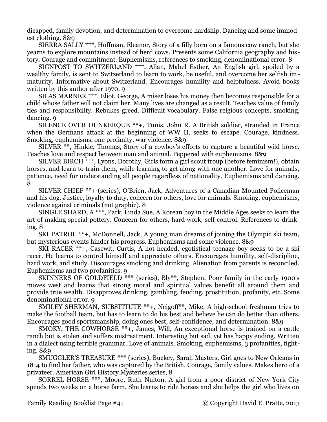dicapped, family devotion, and determination to overcome hardship. Dancing and some immodest clothing. 8&9

SIERRA SALLY \*\*\*, Hoffman, Eleanor, Story of a filly born on a famous cow ranch, but she yearns to explore mountains instead of herd cows. Presents some California geography and history. Courage and commitment. Euphemisms, references to smoking, denominational error. 8

SIGNPOST TO SWITZERLAND \*\*\*, Allan, Mabel Esther, An English girl, spoiled by a wealthy family, is sent to Switzerland to learn to work, be useful, and overcome her selfish immaturity. Informative about Switzerland. Encourages humility and helpfulness. Avoid books written by this author after 1970. 9

SILAS MARNER \*\*\*, Eliot, George, A miser loses his money then becomes responsible for a child whose father will not claim her. Many lives are changed as a result. Teaches value of family ties and responsibility. Rebukes greed. Difficult vocabulary. False relgious concepts, smoking, dancing. 9

SILENCE OVER DUNKERQUE \*\*+, Tunis, John R. A British soldier, stranded in France when the Germans attack at the beginning of WW II, seeks to escape. Courage, kindness. Smoking, euphemisms, one profanity, war violence. 8&9

SILVER \*\*, Hinkle, Thomas, Story of a cowboy's efforts to capture a beautiful wild horse. Teaches love and respect between man and animal. Peppered with euphemisms. 8&9

SILVER BIRCH \*\*\*, Lyons, Dorothy, Girls form a girl scout troup (before feminism!), obtain horses, and learn to train them, while learning to get along with one another. Love for animals, patience, need for understanding all people regardless of nationality. Euphemisms and dancing. 8

SILVER CHIEF \*\*+ (series), O'Brien, Jack, Adventures of a Canadian Mounted Policeman and his dog. Justice, loyalty to duty, concern for others, love for animals. Smoking, euphemisms, violence against criminals (not graphic). 8

SINGLE SHARD, A \*\*\*, Park, Linda Sue, A Korean boy in the Middle Ages seeks to learn the art of making special pottery. Concern for others, hard work, self control. References to drinking. 8

SKI PATROL \*\*+, McDonnell, Jack, A young man dreams of joining the Olympic ski team, but mysterious events hinder his progress. Euphemisms and some violence. 8&9

SKI RACER \*\*+, Casewit, Curtis, A hot-headed, egotistical teenage boy seeks to be a ski racer. He learns to control himself and appreciate others. Encourages humility, self-discipline, hard work, and study. Discourages smoking and drinking. Alienation from parents is reconciled. Euphemisms and two profanities. 9

SKINNERS OF GOLDFIELD \*\*\* (series), Bly\*\*, Stephen, Poor family in the early 1900's moves west and learns that strong moral and spiritual values benefit all around them and provide true wealth. Disapproves drinking, gambling, feuding, prostitution, profanity, etc. Some denominational error. 9

SMILEY SHERMAN, SUBSTITUTE \*\*+, Neigoff\*\*, Mike, A high-school freshman tries to make the football team, but has to learn to do his best and believe he can do better than others. Encourages good sportsmanship, doing ones best, self-confidence, and determination. 8&9

SMOKY, THE COWHORSE \*\*+, James, Will, An exceptional horse is trained on a cattle ranch but is stolen and suffers mistreatment. Interesting but sad, yet has happy ending. Written in a dialect using terrible grammar. Love of animals. Smoking, euphemisms, 3 profanities, fighting. 8&9

SMUGGLER'S TREASURE \*\*\* (series), Buckey, Sarah Masters, Girl goes to New Orleans in 1814 to find her father, who was captured by the British. Courage, family values. Makes hero of a privateer. American Girl History Mysteries series, 8

SORREL HORSE \*\*\*, Moore, Ruth Nulton, A girl from a poor district of New York City spends two weeks on a horse farm. She learns to ride horses and she helps the girl who lives on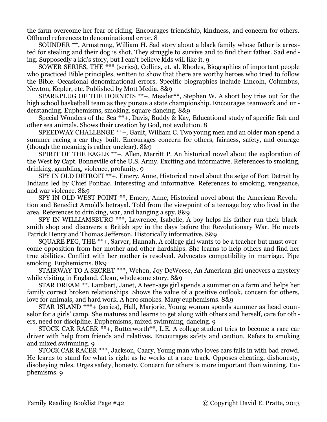the farm overcome her fear of riding. Encourages friendship, kindness, and concern for others. Offhand references to denominational error. 8

SOUNDER \*\*, Armstrong, William H. Sad story about a black family whose father is arrested for stealing and their dog is shot. They struggle to survive and to find their father. Sad ending. Supposedly a kid's story, but I can't believe kids will like it. 9

SOWER SERIES, THE \*\*\* (series), Collins, et. al. Rhodes, Biographies of important people who practiced Bible principles, written to show that there are worthy heroes who tried to follow the Bible. Occasional denominational errors. Specific biographies include Lincoln, Columbus, Newton, Kepler, etc. Published by Mott Media. 8&9

SPARKPLUG OF THE HORNETS \*\*+, Meader\*\*, Stephen W. A short boy tries out for the high school basketball team as they pursue a state championship. Encourages teamwork and understanding. Euphemisms, smoking, square dancing. 8&9

Special Wonders of the Sea \*\*+, Davis, Buddy & Kay, Educational study of specific fish and other sea animals. Shows their creation by God, not evolution. 8

SPEEDWAY CHALLENGE \*\*+, Gault, William C. Two young men and an older man spend a summer racing a car they built. Encourages concern for others, fairness, safety, and courage (though the meaning is rather unclear). 8&9

SPIRIT OF THE EAGLE \*\*+, Allen, Merritt P. An historical novel about the exploration of the West by Capt. Bonneville of the U.S. Army. Exciting and informative. References to smoking, drinking, gambling, violence, profanity. 9

SPY IN OLD DETROIT \*\*+, Emery, Anne, Historical novel about the seige of Fort Detroit by Indians led by Chief Pontiac. Interesting and informative. References to smoking, vengeance, and war violence. 8&9

SPY IN OLD WEST POINT \*\*, Emery, Anne, Historical novel about the American Revolution and Benedict Arnold's betrayal. Told from the viewpoint of a teenage boy who lived in the area. References to drinking, war, and hanging a spy. 8&9

SPY IN WILLIAMSBURG \*\*\*, Lawrence, Isabelle, A boy helps his father run their blacksmith shop and discovers a British spy in the days before the Revolutionary War. He meets Patrick Henry and Thomas Jefferson. Historically informative. 8&9

SQUARE PEG, THE \*\*+, Sarver, Hannah, A college girl wants to be a teacher but must overcome opposition from her mother and other hardships. She learns to help others and find her true abilities. Conflict with her mother is resolved. Advocates compatibility in marriage. Pipe smoking. Euphemisms. 8&9

STAIRWAY TO A SECRET \*\*\*, Wehen, Joy DeWeese, An American girl uncovers a mystery while visiting in England. Clean, wholesome story. 8&9

STAR DREAM \*\*, Lambert, Janet, A teen-age girl spends a summer on a farm and helps her family correct broken relationships. Shows the value of a positive outlook, concern for others, love for animals, and hard work. A hero smokes. Many euphemisms. 8&9

STAR ISLAND \*\*\*+ (series), Hall, Marjorie, Young woman spends summer as head counselor for a girls' camp. She matures and learns to get along with others and herself, care for others, need for discipline. Euphemisms, mixed swimming, dancing. 9

STOCK CAR RACER \*\*+, Butterworth\*\*, L.E. A college student tries to become a race car driver with help from friends and relatives. Encourages safety and caution, Refers to smoking and mixed swimming. 9

STOCK CAR RACER \*\*\*, Jackson, Caary, Young man who loves cars falls in with bad crowd. He learns to stand for what is right as he works at a race track. Opposes cheating, dishonesty, disobeying rules. Urges safety, honesty. Concern for others is more important than winning. Euphemisms. 9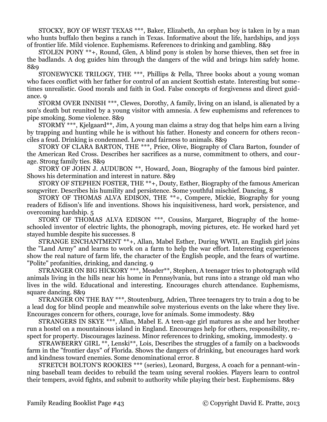STOCKY, BOY OF WEST TEXAS \*\*\*, Baker, Elizabeth, An orphan boy is taken in by a man who hunts buffalo then begins a ranch in Texas. Informative about the life, hardships, and joys of frontier life. Mild violence. Euphemisms. References to drinking and gambling. 8&9

STOLEN PONY \*\*+, Round, Glen, A blind pony is stolen by horse thieves, then set free in the badlands. A dog guides him through the dangers of the wild and brings him safely home. 8&9

STONEWYCKE TRILOGY, THE \*\*\*, Phillips & Pella, Three books about a young woman who faces conflict with her father for control of an ancient Scottish estate. Interesting but sometimes unrealistic. Good morals and faith in God. False concepts of forgiveness and direct guidance. 9

STORM OVER INNISH \*\*\*, Clewes, Dorothy, A family, living on an island, is alienated by a son's death but reunited by a young visitor with amnesia. A few euphemisms and references to pipe smoking. Some violence. 8&9

STORMY \*\*\*, Kjelgaard\*\*, Jim, A young man claims a stray dog that helps him earn a living by trapping and hunting while he is without his father. Honesty and concern for others reconciles a feud. Drinking is condemned. Love and fairness to animals. 8&9

STORY OF CLARA BARTON, THE \*\*\*, Price, Olive, Biography of Clara Barton, founder of the American Red Cross. Describes her sacrifices as a nurse, commitment to others, and courage. Strong family ties. 8&9

STORY OF JOHN J. AUDUBON \*\*, Howard, Joan, Biography of the famous bird painter. Shows his determination and interest in nature. 8&9

STORY OF STEPHEN FOSTER, THE \*\*+, Douty, Esther, Biography of the famous American songwriter. Describes his humility and persistence. Some youthful mischief. Dancing, 8

STORY OF THOMAS ALVA EDISON, THE \*\*+, Compere, Mickie, Biography for young readers of Edison's life and inventions. Shows his inquisitiveness, hard work, persistence, and overcoming hardship. 5

STORY OF THOMAS ALVA EDISON \*\*\*, Cousins, Margaret, Biography of the homeschooled inventor of electric lights, the phonograph, moving pictures, etc. He worked hard yet stayed humble despite his successes. 8

STRANGE ENCHANTMENT \*\*+, Allan, Mabel Esther, During WWII, an English girl joins the "Land Army" and learns to work on a farm to help the war effort. Interesting experiences show the real nature of farm life, the character of the English people, and the fears of wartime. "Polite" profanities, drinking, and dancing. 9

STRANGER ON BIG HICKORY \*\*\*, Meader\*\*, Stephen, A teenager tries to photograph wild animals living in the hills near his home in Pennsylvania, but runs into a strange old man who lives in the wild. Educational and interesting. Encourages church attendance. Euphemisms, square dancing. 8&9

STRANGER ON THE BAY \*\*\*, Stoutenburg, Adrien, Three teenagers try to train a dog to be a lead dog for blind people and meanwhile solve mysterious events on the lake where they live. Encourages concern for others, courage, love for animals. Some immodesty. 8&9

STRANGERS IN SKYE \*\*\*, Allan, Mabel E. A teen-age girl matures as she and her brother run a hostel on a mountainous island in England. Encourages help for others, responsibility, respect for property. Discourages laziness. Minor references to drinking, smoking, immodesty. 9

STRAWBERRY GIRL \*\*, Lenski\*\*, Lois, Describes the struggles of a family on a backwoods farm in the "frontier days" of Florida. Shows the dangers of drinking, but encourages hard work and kindness toward enemies. Some denominational error. 8

STRETCH BOLTON'S ROOKIES \*\*\* (series), Leonard, Burgess, A coach for a pennant-winning baseball team decides to rebuild the team using several rookies. Players learn to control their tempers, avoid fights, and submit to authority while playing their best. Euphemisms. 8&9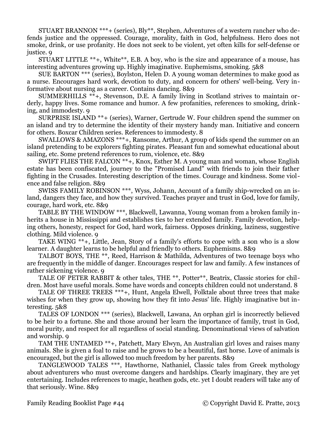STUART BRANNON \*\*\*+ (series), Bly\*\*, Stephen, Adventures of a western rancher who defends justice and the oppressed. Courage, morality, faith in God, helpfulness. Hero does not smoke, drink, or use profanity. He does not seek to be violent, yet often kills for self-defense or justice. 9

STUART LITTLE \*\*+, White\*\*, E.B. A boy, who is the size and appearance of a mouse, has interesting adventures growing up. Highly imaginative. Euphemisms, smoking. 5&8

SUE BARTON \*\*\* (series), Boylston, Helen D. A young woman determines to make good as a nurse. Encourages hard work, devotion to duty, and concern for others' well-being. Very informative about nursing as a career. Contains dancing. 8&9

SUMMERHILLS \*\*+, Stevenson, D.E. A family living in Scotland strives to maintain orderly, happy lives. Some romance and humor. A few profanities, references to smoking, drinking, and immodesty. 9

SURPRISE ISLAND \*\*+ (series), Warner, Gertrude W. Four children spend the summer on an island and try to determine the identity of their mystery handy man. Initiative and concern for others. Boxcar Children series. References to immodesty. 8

SWALLOWS & AMAZONS \*\*\*+, Ransome, Arthur, A group of kids spend the summer on an island pretending to be explorers fighting pirates. Pleasant fun and somewhat educational about sailing, etc. Some pretend references to rum, violence, etc. 8&9

SWIFT FLIES THE FALCON \*\*+, Knox, Esther M. A young man and woman, whose English estate has been confiscated, journey to the "Promised Land" with friends to join their father fighting in the Crusades. Interesting description of the times. Courage and kindness. Some violence and false religion. 8&9

SWISS FAMILY ROBINSON \*\*\*, Wyss, Johann, Account of a family ship-wrecked on an island, dangers they face, and how they survived. Teaches prayer and trust in God, love for family, courage, hard work, etc. 8&9

TABLE BY THE WINDOW \*\*\*, Blackwell, Lawanna, Young woman from a broken family inherits a house in Mississippi and establishes ties to her extended family. Family devotion, helping others, honesty, respect for God, hard work, fairness. Opposes drinking, laziness, suggestive clothing. Mild violence. 9

TAKE WING \*\*+, Little, Jean, Story of a family's efforts to cope with a son who is a slow learner. A daughter learns to be helpful and friendly to others. Euphemisms. 8&9

TALBOT BOYS, THE \*\*, Reed, Harrison & Mathilda, Adventures of two teenage boys who are frequently in the middle of danger. Encourages respect for law and family. A few instances of rather sickening violence. 9

TALE OF PETER RABBIT & other tales, THE \*\*, Potter\*\*, Beatrix, Classic stories for children. Most have useful morals. Some have words and concepts children could not understand. 8

TALE OF THREE TREES \*\*\*+, Hunt, Angela Elwell, Folktale about three trees that make wishes for when they grow up, showing how they fit into Jesus' life. Highly imaginative but interesting. 5&8

TALES OF LONDON \*\*\* (series), Blackwell, Lawana, An orphan girl is incorrectly believed to be heir to a fortune. She and those around her learn the importance of family, trust in God, moral purity, and respect for all regardless of social standing. Denominational views of salvation and worship. 9

TAM THE UNTAMED \*\*+, Patchett, Mary Elwyn, An Australian girl loves and raises many animals. She is given a foal to raise and he grows to be a beautiful, fast horse. Love of animals is encouraged, but the girl is allowed too much freedom by her parents. 8&9

TANGLEWOOD TALES \*\*\*, Hawthorne, Nathaniel, Classic tales from Greek mythology about adventurers who must overcome dangers and hardships. Clearly imaginary, they are yet entertaining. Includes references to magic, heathen gods, etc. yet I doubt readers will take any of that seriously. Wine. 8&9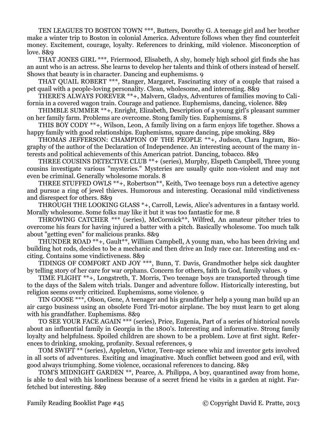TEN LEAGUES TO BOSTON TOWN \*\*\*, Butters, Dorothy G. A teenage girl and her brother make a winter trip to Boston in colonial America. Adventure follows when they find counterfeit money. Excitement, courage, loyalty. References to drinking, mild violence. Misconception of love. 8&9

THAT JONES GIRL \*\*\*, Friermood, Elisabeth, A shy, homely high school girl finds she has an aunt who is an actress. She learns to develop her talents and think of others instead of herself. Shows that beauty is in character. Dancing and euphemisms. 9

THAT QUAIL ROBERT \*\*\*, Stanger, Margaret, Fascinating story of a couple that raised a pet quail with a people-loving personality. Clean, wholesome, and interesting. 8&9

THERE'S ALWAYS FOREVER \*\*+, Malvern, Gladys, Adventures of families moving to California in a covered wagon train. Courage and patience. Euphemisms, dancing, violence. 8&9

THIMBLE SUMMER \*\*+, Enright, Elizabeth, Description of a young girl's pleasant summer on her family farm. Problems are overcome. Stong family ties. Euphemisms. 8

THIS BOY CODY \*\*+, Wilson, Leon, A family living on a farm enjoys life together. Shows a happy family with good relationships. Euphemisms, square dancing, pipe smoking. 8&9

THOMAS JEFFERSON: CHAMPION OF THE PEOPLE \*\*+, Judson, Clara Ingram, Biography of the author of the Declaration of Independence. An interesting account of the many interests and political achievements of this American patriot. Dancing, tobacco. 8&9

THREE COUSINS DETECTIVE CLUB \*\*+ (series), Murphy, Elspeth Campbell, Three young cousins investigate various "mysteries." Mysteries are usually quite non-violent and may not even be criminal. Generally wholesome morals. 8

THREE STUFFED OWLS \*\*+, Robertson\*\*, Keith, Two teenage boys run a detective agency and pursue a ring of jewel thieves. Humorous and interesting. Occasional mild vindictiveness and disrespect for others. 8&9

THROUGH THE LOOKING GLASS \*+, Carroll, Lewis, Alice's adventures in a fantasy world. Morally wholesome. Some folks may like it but it was too fantastic for me. 8

THROWING CATCHER \*\*\* (series), McCormick\*\*, Wilfred, An amateur pitcher tries to overcome his fears for having injured a batter with a pitch. Basically wholesome. Too much talk about "getting even" for malicious pranks. 8&9

THUNDER ROAD \*\*+, Gault\*\*, William Campbell, A young man, who has been driving and building hot rods, decides to be a mechanic and then drive an Indy race car. Interesting and exciting. Contains some vindictiveness. 8&9

TIDINGS OF COMFORT AND JOY \*\*\*, Bunn, T. Davis, Grandmother helps sick daughter by telling story of her care for war orphans. Concern for others, faith in God, family values. 9

TIME FLIGHT \*\*+, Longstreth, T. Morris, Two teenage boys are transported through time to the days of the Salem witch trials. Danger and adventure follow. Historically interesting, but religion seems overly criticized. Euphemisms, some violence. 9

TIN GOOSE \*\*\*, Olson, Gene, A teenager and his grandfather help a young man build up an air cargo business using an obsolete Ford Tri-motor airplane. The boy must learn to get along with his grandfather. Euphemisms. 8&9

TO SEE YOUR FACE AGAIN \*\*\* (series), Price, Eugenia, Part of a series of historical novels about an influential family in Georgia in the 1800's. Interesting and informative. Strong family loyalty and helpfulness. Spoiled children are shown to be a problem. Love at first sight. References to drinking, smoking, profanity. Sexual references, 9

TOM SWIFT \*\* (series), Appleton, Victor, Teen-age science whiz and inventor gets involved in all sorts of adventures. Exciting and imaginative. Much conflict between good and evil, with good always triumphing. Some violence, occasional references to dancing. 8&9

TOM'S MIDNIGHT GARDEN \*\*, Pearce, A. Philippa, A boy, quarantined away from home, is able to deal with his loneliness because of a secret friend he visits in a garden at night. Farfetched but interesting. 8&9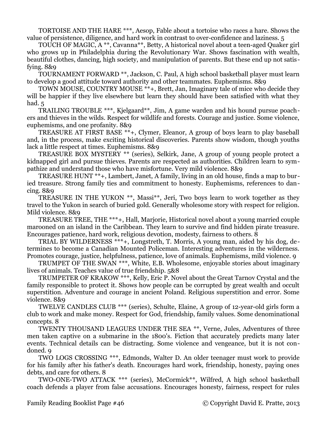TORTOISE AND THE HARE \*\*\*, Aesop, Fable about a tortoise who races a hare. Shows the value of persistence, diligence, and hard work in contrast to over-confidence and laziness. 5

TOUCH OF MAGIC, A \*\*, Cavanna\*\*, Betty, A historical novel about a teen-aged Quaker girl who grows up in Philadelphia during the Revolutionary War. Shows fascination with wealth, beautiful clothes, dancing, high society, and manipulation of parents. But these end up not satisfying. 8&9

TOURNAMENT FORWARD \*\*, Jackson, C. Paul, A high school basketball player must learn to develop a good attitude toward authority and other teammates. Euphemisms. 8&9

TOWN MOUSE, COUNTRY MOUSE \*\*+, Brett, Jan, Imaginary tale of mice who decide they will be happier if they live elsewhere but learn they should have been satisfied with what they had. 5

TRAILING TROUBLE \*\*\*, Kjelgaard\*\*, Jim, A game warden and his hound pursue poachers and thieves in the wilds. Respect for wildlife and forests. Courage and justice. Some violence, euphemisms, and one profanity. 8&9

TREASURE AT FIRST BASE \*\*+, Clymer, Eleanor, A group of boys learn to play baseball and, in the process, make exciting historical discoveries. Parents show wisdom, though youths lack a little respect at times. Euphemisms. 8&9

TREASURE BOX MYSTERY \*\* (series), Selkirk, Jane, A group of young people protect a kidnapped girl and pursue thieves. Parents are respected as authorities. Children learn to sympathize and understand those who have misfortune. Very mild violence. 8&9

TREASURE HUNT \*\*+, Lambert, Janet, A family, living in an old house, finds a map to buried treasure. Strong family ties and commitment to honesty. Euphemisms, references to dancing. 8&9

TREASURE IN THE YUKON \*\*, Massi\*\*, Jeri, Two boys learn to work together as they travel to the Yukon in search of buried gold. Generally wholesome story with respect for religion. Mild violence. 8&9

TREASURE TREE, THE \*\*\*+, Hall, Marjorie, Historical novel about a young married couple marooned on an island in the Caribbean. They learn to survive and find hidden pirate treasure. Encourages patience, hard work, religious devotion, modesty, fairness to others. 8

TRIAL BY WILDERNESS \*\*\*+, Longstreth, T. Morris, A young man, aided by his dog, determines to become a Canadian Mounted Policeman. Interesting adventures in the wilderness. Promotes courage, justice, helpfulness, patience, love of animals. Euphemisms, mild violence. 9

TRUMPET OF THE SWAN \*\*\*, White, E.B. Wholesome, enjoyable stories about imaginary lives of animals. Teaches value of true friendship. 5&8

TRUMPETER OF KRAKOW \*\*\*, Kelly, Eric P. Novel about the Great Tarnov Crystal and the family responsible to protect it. Shows how people can be corrupted by great wealth and occult superstition. Adventure and courage in ancient Poland. Religious superstition and error. Some violence. 8&9

TWELVE CANDLES CLUB \*\*\* (series), Schulte, Elaine, A group of 12-year-old girls form a club to work and make money. Respect for God, friendship, family values. Some denominational concepts. 8

TWENTY THOUSAND LEAGUES UNDER THE SEA \*\*, Verne, Jules, Adventures of three men taken captive on a submarine in the 1800's. Fiction that accurately predicts many later events. Technical details can be distracting. Some violence and vengeance, but it is not condoned. 9

TWO LOGS CROSSING \*\*\*, Edmonds, Walter D. An older teenager must work to provide for his family after his father's death. Encourages hard work, friendship, honesty, paying ones debts, and care for others. 8

TWO-ONE-TWO ATTACK \*\*\* (series), McCormick\*\*, Wilfred, A high school basketball coach defends a player from false accusations. Encourages honesty, fairness, respect for rules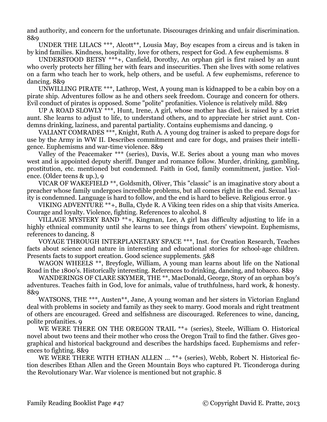and authority, and concern for the unfortunate. Discourages drinking and unfair discrimination. 8&9

UNDER THE LILACS \*\*\*, Alcott<sup>\*\*</sup>, Lousia May, Boy escapes from a circus and is taken in by kind families. Kindness, hospitality, love for others, respect for God. A few euphemisms. 8

UNDERSTOOD BETSY \*\*\*+, Canfield, Dorothy, An orphan girl is first raised by an aunt who overly protects her filling her with fears and insecurities. Then she lives with some relatives on a farm who teach her to work, help others, and be useful. A few euphemisms, reference to dancing. 8&9

UNWILLING PIRATE \*\*\*, Lathrop, West, A young man is kidnapped to be a cabin boy on a pirate ship. Adventures follow as he and others seek freedom. Courage and concern for others. Evil conduct of pirates is opposed. Some "polite" profanities. Violence is relatively mild. 8&9

UP A ROAD SLOWLY \*\*\*, Hunt, Irene, A girl, whose mother has died, is raised by a strict aunt. She learns to adjust to life, to understand others, and to appreciate her strict aunt. Condemns drinking, laziness, and parental partiality. Contains euphemisms and dancing. 9

VALIANT COMRADES \*\*\*, Knight, Ruth A. A young dog trainer is asked to prepare dogs for use by the Army in WW II. Describes commitment and care for dogs, and praises their intelligence. Euphemisms and war-time violence. 8&9

Valley of the Peacemaker \*\*\* (series), Davis, W.E. Series about a young man who moves west and is appointed deputy sheriff. Danger and romance follow. Murder, drinking, gambling, prostitution, etc. mentioned but condemned. Faith in God, family commitment, justice. Violence. (Older teens & up.), 9

VICAR OF WAKEFIELD \*\*, Goldsmith, Oliver, This "classic" is an imaginative story about a preacher whose family undergoes incredible problems, but all comes right in the end. Sexual laxity is condemned. Language is hard to follow, and the end is hard to believe. Religious error. 9

VIKING ADVENTURE \*\*+, Bulla, Clyde R. A Viking teen rides on a ship that visits America. Courage and loyalty. Violence, fighting. References to alcohol. 8

VILLAGE MYSTERY BAND \*\*+, Kingman, Lee, A girl has difficulty adjusting to life in a highly ethnical community until she learns to see things from others' viewpoint. Euphemisms, references to dancing. 8

VOYAGE THROUGH INTERPLANETARY SPACE \*\*\*, Inst. for Creation Research, Teaches facts about science and nature in interesting and educational stories for school-age children. Presents facts to support creation. Good science supplements. 5&8

WAGON WHEELS \*\*, Breyfogle, William, A young man learns about life on the National Road in the 1800's. Historically interesting. References to drinking, dancing, and tobacco. 8&9

WANDERINGS OF CLARE SKYMER, THE \*\*, MacDonald, George, Story of an orphan boy's adventures. Teaches faith in God, love for animals, value of truthfulness, hard work, & honesty. 8&9

WATSONS, THE \*\*\*, Austen\*\*, Jane, A young woman and her sisters in Victorian England deal with problems in society and family as they seek to marry. Good morals and right treatment of others are encouraged. Greed and selfishness are discouraged. References to wine, dancing, polite profanities. 9

WE WERE THERE ON THE OREGON TRAIL \*\*+ (series), Steele, William O. Historical novel about two teens and their mother who cross the Oregon Trail to find the father. Gives geographical and historical background and describes the hardships faced. Euphemisms and references to fighting. 8&9

WE WERE THERE WITH ETHAN ALLEN ... \*\*+ (series), Webb, Robert N. Historical fiction describes Ethan Allen and the Green Mountain Boys who captured Ft. Ticonderoga during the Revolutionary War. War violence is mentioned but not graphic. 8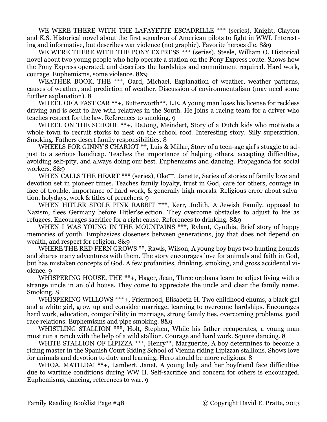WE WERE THERE WITH THE LAFAYETTE ESCADRILLE \*\*\* (series), Knight, Clayton and K.S. Historical novel about the first squadron of American pilots to fight in WWI. Interesting and informative, but describes war violence (not graphic). Favorite heroes die. 8&9

WE WERE THERE WITH THE PONY EXPRESS \*\*\* (series), Steele, William O. Historical novel about two young people who help operate a station on the Pony Express route. Shows how the Pony Express operated, and describes the hardships and commitment required. Hard work, courage. Euphemisms, some violence. 8&9

WEATHER BOOK, THE \*\*\*, Oard, Michael, Explanation of weather, weather patterns, causes of weather, and prediction of weather. Discussion of environmentalism (may need some further explanation). 8

WHEEL OF A FAST CAR \*\*+, Butterworth<sup>\*\*</sup>, L.E. A young man loses his license for reckless driving and is sent to live with relatives in the South. He joins a racing team for a driver who teaches respect for the law. References to smoking. 9

WHEEL ON THE SCHOOL \*\*+, DeJong, Meindert, Story of a Dutch kids who motivate a whole town to recruit storks to nest on the school roof. Interesting story. Silly superstition. Smoking. Fathers desert family responsibilities. 8

WHEELS FOR GINNY'S CHARIOT \*\*, Luis & Millar, Story of a teen-age girl's stuggle to adjust to a serious handicap. Teaches the importance of helping others, accepting difficulties, avoiding self-pity, and always doing our best. Euphemisms and dancing. Propaganda for social workers. 8&9

WHEN CALLS THE HEART \*\*\* (series), Oke<sup>\*\*</sup>, Janette, Series of stories of family love and devotion set in pioneer times. Teaches family loyalty, trust in God, care for others, courage in face of trouble, importance of hard work, & generally high morals. Religious error about salvation, holydays, work & titles of preachers. 9

WHEN HITLER STOLE PINK RABBIT \*\*\*, Kerr, Judith, A Jewish Family, opposed to Nazism, flees Germany before Hitler'selection. They overcome obstacles to adjust to life as refugees. Encourages sacrifice for a right cause. References to drinking. 8&9

WHEN I WAS YOUNG IN THE MOUNTAINS \*\*\*, Rylant, Cynthia, Brief story of happy memories of youth. Emphasizes closeness between generations, joy that does not depend on wealth, and respect for religion. 8&9

WHERE THE RED FERN GROWS \*\*, Rawls, Wilson, A young boy buys two hunting hounds and shares many adventures with them. The story encourages love for animals and faith in God, but has mistaken concepts of God. A few profanities, drinking, smoking, and gross accidental violence. 9

WHISPERING HOUSE, THE \*\*+, Hager, Jean, Three orphans learn to adjust living with a strange uncle in an old house. They come to appreciate the uncle and clear the family name. Smoking. 8

WHISPERING WILLOWS \*\*\*+, Friermood, Elisabeth H. Two childhood chums, a black girl and a white girl, grow up and consider marriage, learning to overcome hardships. Encourages hard work, education, compatibility in marriage, strong family ties, overcoming problems, good race relations. Euphemisms and pipe smoking. 8&9

WHISTLING STALLION \*\*\*, Holt, Stephen, While his father recuperates, a young man must run a ranch with the help of a wild stallion. Courage and hard work. Square dancing. 8

WHITE STALLION OF LIPIZZA \*\*\*, Henry\*\*, Marguerite, A boy determines to become a riding master in the Spanish Court Riding School of Vienna riding Lipizzan stallions. Shows love for animals and devotion to duty and learning. Hero should be more religious. 8

WHOA, MATILDA! \*\*+, Lambert, Janet, A young lady and her boyfriend face difficulties due to wartime conditions during WW II. Self-sacrifice and concern for others is encouraged. Euphemisms, dancing, references to war. 9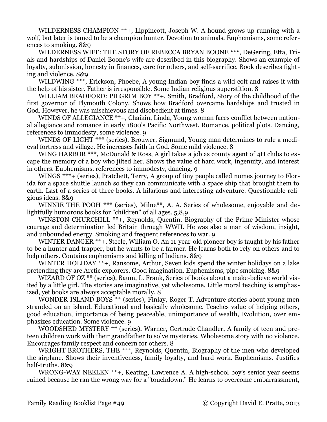WILDERNESS CHAMPION \*\*+, Lippincott, Joseph W. A hound grows up running with a wolf, but later is tamed to be a champion hunter. Devotion to animals. Euphemisms, some references to smoking. 8&9

WILDERNESS WIFE: THE STORY OF REBECCA BRYAN BOONE \*\*\*, DeGering, Etta, Trials and hardships of Daniel Boone's wife are described in this biography. Shows an example of loyalty, submission, honesty in finances, care for others, and self-sacrifice. Book describes fighting and violence. 8&9

WILDWING \*\*\*, Erickson, Phoebe, A young Indian boy finds a wild colt and raises it with the help of his sister. Father is irresponsible. Some Indian religious superstition. 8

WILLIAM BRADFORD: PILGRIM BOY \*\*+, Smith, Bradford, Story of the childhood of the first governor of Plymouth Colony. Shows how Bradford overcame hardships and trusted in God. However, he was mischievous and disobedient at times. 8

WINDS OF ALLEGIANCE \*\*+, Chaikin, Linda, Young woman faces conflict between national allegiance and romance in early 1800's Pacific Northwest. Romance, political plots. Dancing, references to immodesty, some violence. 9

WINDS OF LIGHT \*\*\* (series), Brouwer, Sigmund, Young man determines to rule a medieval fortress and village. He increases faith in God. Some mild violence. 8

WING HARBOR  $**$ , McDonald & Ross, A girl takes a job as county agent of 4H clubs to escape the memory of a boy who jilted her. Shows the value of hard work, ingenuity, and interest in others. Euphemisms, references to immodesty, dancing. 9

WINGS<sup>\*\*\*</sup>+ (series), Pratchett, Terry, A group of tiny people called nomes journey to Florida for a space shuttle launch so they can communicate with a space ship that brought them to earth. Last of a series of three books. A hilarious and interesting adventure. Questionable religious ideas. 8&9

WINNIE THE POOH \*\*\* (series), Milne\*\*, A. A. Series of wholesome, enjoyable and delightfully humorous books for "children" of all ages. 5,8,9

WINSTON CHURCHILL \*\*+, Reynolds, Quentin, Biography of the Prime Minister whose courage and determination led Britain through WWII. He was also a man of wisdom, insight, and unbounded energy. Smoking and frequent references to war. 9

WINTER DANGER \*\*+, Steele, William O. An 11-year-old pioneer boy is taught by his father to be a hunter and trapper, but he wants to be a farmer. He learns both to rely on others and to help others. Contains euphemisms and killing of Indians. 8&9

WINTER HOLIDAY \*\*+, Ransome, Arthur, Seven kids spend the winter holidays on a lake pretending they are Arctic explorers. Good imagination. Euphemisms, pipe smoking. 8&9

WIZARD OF OZ \*\* (series), Baum, L. Frank, Series of books about a make-believe world visited by a little girl. The stories are imaginative, yet wholesome. Little moral teaching is emphasized, yet books are always acceptable morally. 8

WONDER ISLAND BOYS \*\* (series), Finlay, Roger T. Adventure stories about young men stranded on an island. Educational and basically wholesome. Teaches value of helping others, good education, importance of being peaceable, unimportance of wealth, Evolution, over emphasizes education. Some violence. 9

WOODSHED MYSTERY \*\* (series), Warner, Gertrude Chandler, A family of teen and preteen children work with their grandfather to solve mysteries. Wholesome story with no violence. Encourages family respect and concern for others. 8

WRIGHT BROTHERS, THE \*\*\*, Reynolds, Quentin, Biography of the men who developed the airplane. Shows their inventiveness, family loyalty, and hard work. Euphemisms. Justifies half-truths. 8&9

WRONG-WAY NEELEN \*\*+, Keating, Lawrence A. A high-school boy's senior year seems ruined because he ran the wrong way for a "touchdown." He learns to overcome embarrassment,